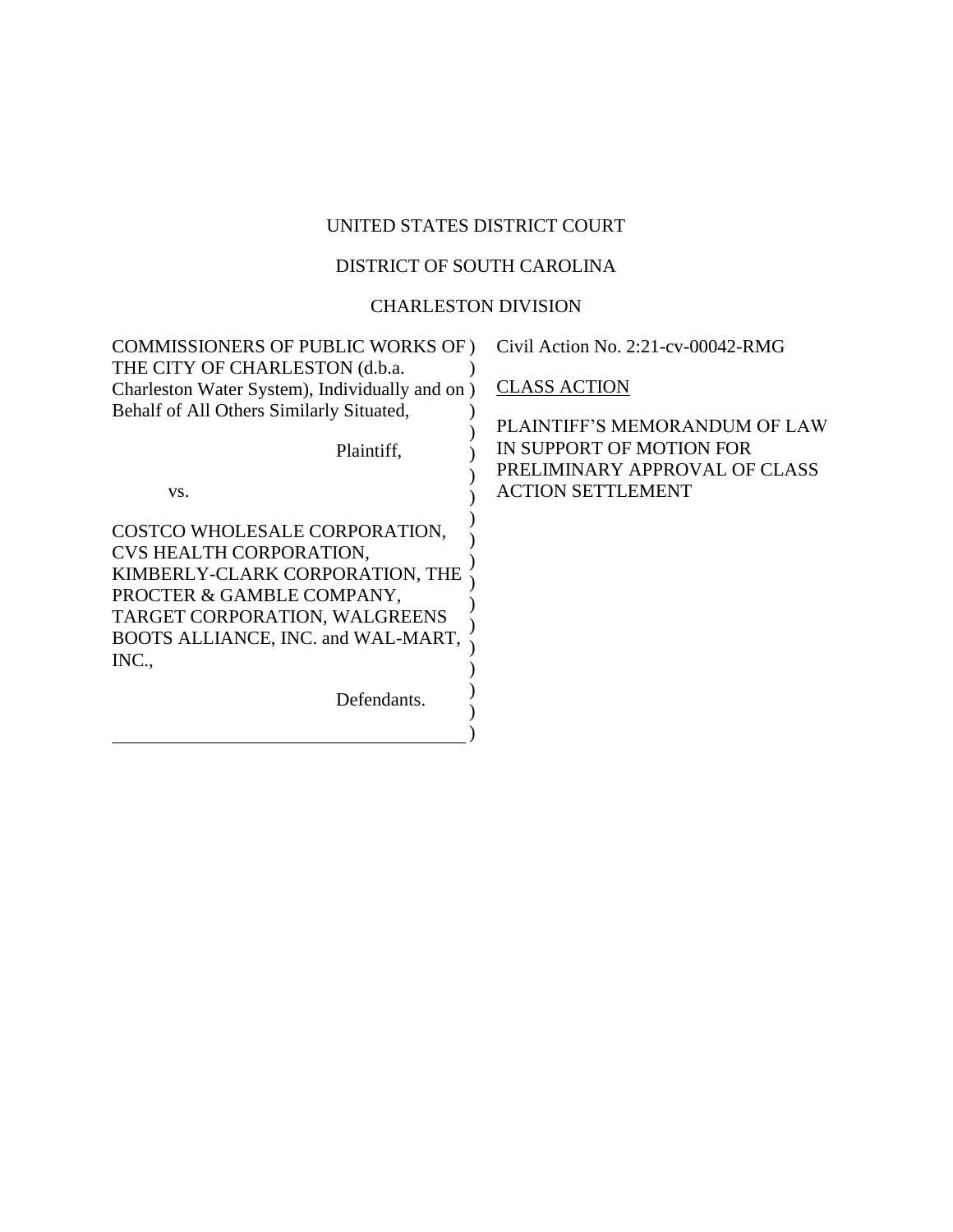# UNITED STATES DISTRICT COURT

### DISTRICT OF SOUTH CAROLINA

### CHARLESTON DIVISION

| COMMISSIONERS OF PUBLIC WORKS OF)               | Civil Action No. 2:21-cv-00042-RMG |
|-------------------------------------------------|------------------------------------|
| THE CITY OF CHARLESTON (d.b.a.                  |                                    |
| Charleston Water System), Individually and on ) | <b>CLASS ACTION</b>                |
| Behalf of All Others Similarly Situated,        |                                    |
|                                                 | PLAINTIFF'S MEMORANDUM OF LAW      |
| Plaintiff,                                      | IN SUPPORT OF MOTION FOR           |
|                                                 | PRELIMINARY APPROVAL OF CLASS      |
| VS.                                             | <b>ACTION SETTLEMENT</b>           |
|                                                 |                                    |
| COSTCO WHOLESALE CORPORATION,                   |                                    |
| CVS HEALTH CORPORATION,                         |                                    |
| KIMBERLY-CLARK CORPORATION, THE                 |                                    |
| PROCTER & GAMBLE COMPANY,                       |                                    |
| TARGET CORPORATION, WALGREENS                   |                                    |
| BOOTS ALLIANCE, INC. and WAL-MART,              |                                    |
| INC.,                                           |                                    |
|                                                 |                                    |
| Defendants.                                     |                                    |
|                                                 |                                    |
|                                                 |                                    |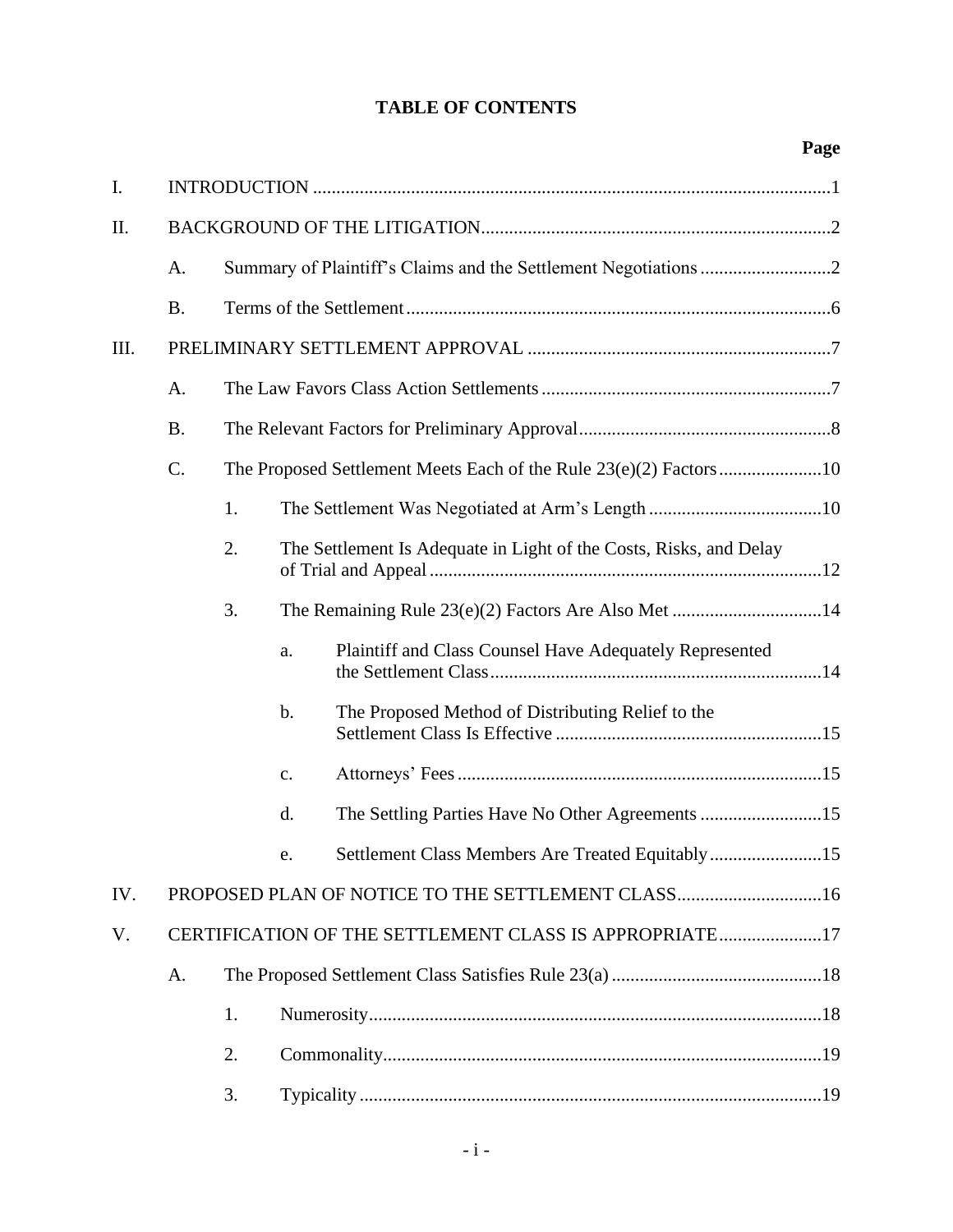### **TABLE OF CONTENTS**

|      |           |    |    |                                                                    | Page |
|------|-----------|----|----|--------------------------------------------------------------------|------|
| I.   |           |    |    |                                                                    |      |
| Π.   |           |    |    |                                                                    |      |
|      | A.        |    |    |                                                                    |      |
|      | <b>B.</b> |    |    |                                                                    |      |
| III. |           |    |    |                                                                    |      |
|      | A.        |    |    |                                                                    |      |
|      | <b>B.</b> |    |    |                                                                    |      |
|      | $C$ .     |    |    |                                                                    |      |
|      |           | 1. |    |                                                                    |      |
|      |           | 2. |    | The Settlement Is Adequate in Light of the Costs, Risks, and Delay |      |
|      |           | 3. |    |                                                                    |      |
|      |           |    | a. | Plaintiff and Class Counsel Have Adequately Represented            |      |
|      |           |    | b. | The Proposed Method of Distributing Relief to the                  |      |
|      |           |    | c. |                                                                    |      |
|      |           |    | d. | The Settling Parties Have No Other Agreements 15                   |      |
|      |           |    | e. |                                                                    |      |
| IV.  |           |    |    | PROPOSED PLAN OF NOTICE TO THE SETTLEMENT CLASS16                  |      |
| V.   |           |    |    | CERTIFICATION OF THE SETTLEMENT CLASS IS APPROPRIATE17             |      |
|      | A.        |    |    |                                                                    |      |
|      |           | 1. |    |                                                                    |      |
|      |           | 2. |    |                                                                    |      |
|      |           | 3. |    |                                                                    |      |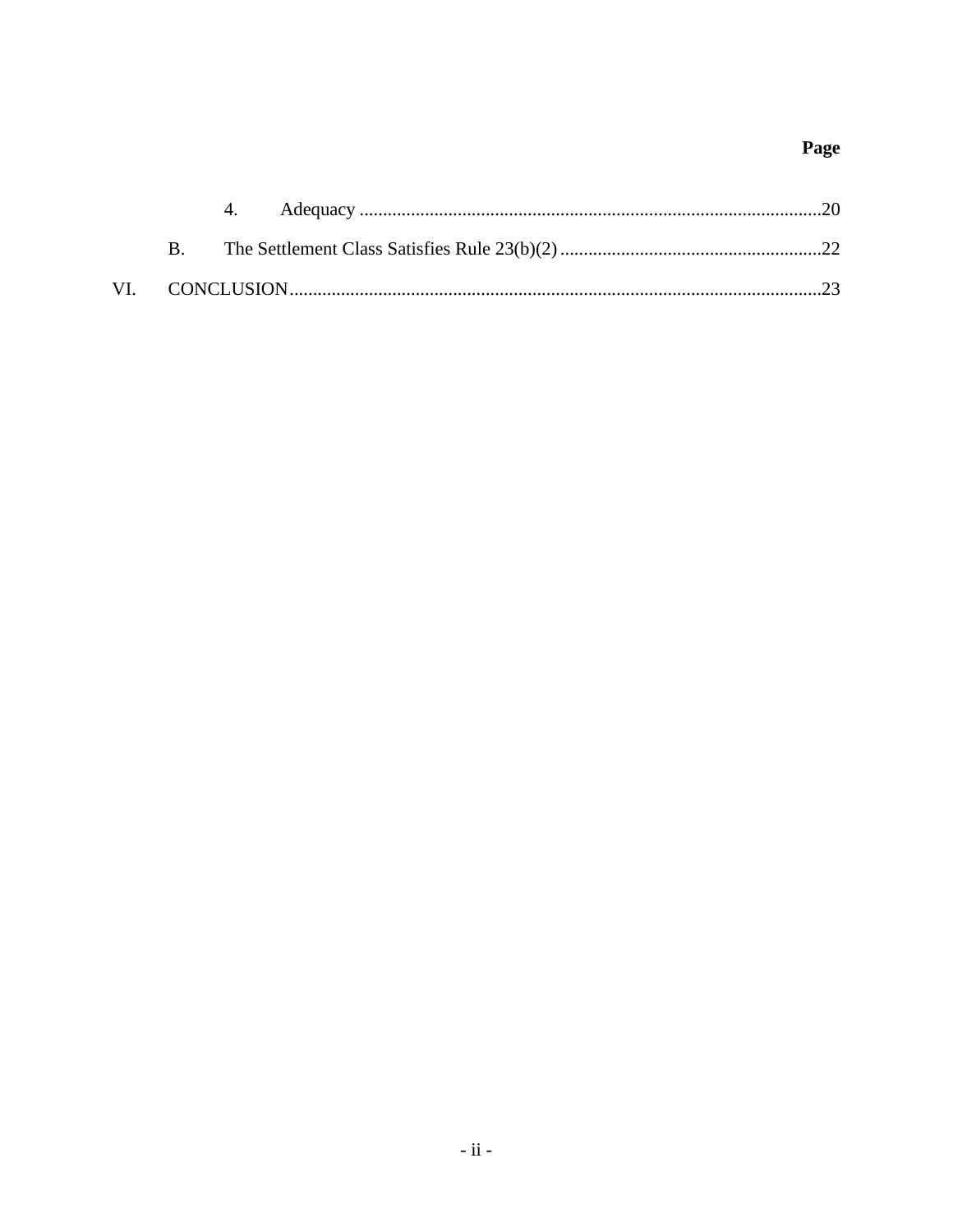# Page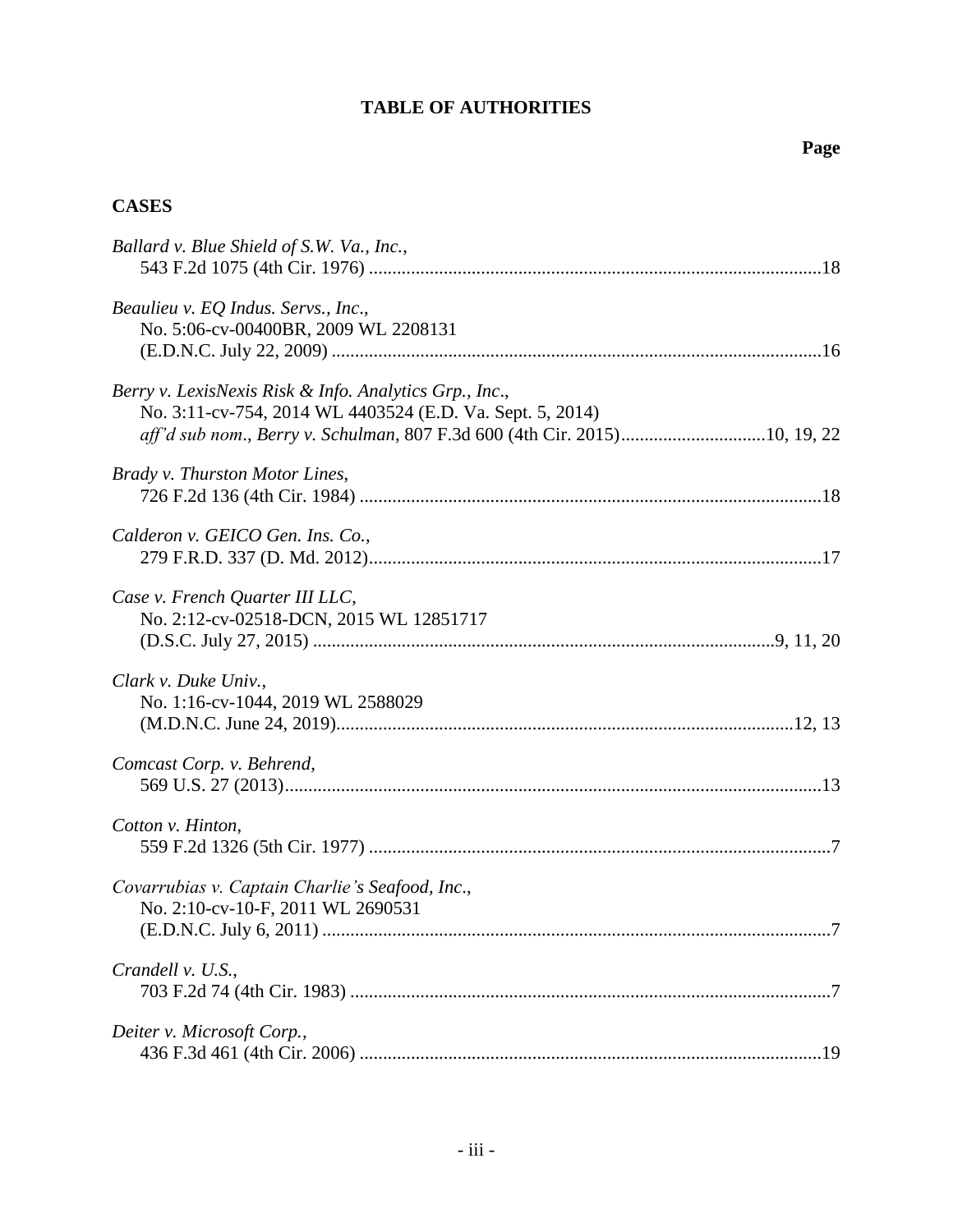# **TABLE OF AUTHORITIES**

## **CASES**

| Ballard v. Blue Shield of S.W. Va., Inc.,                                                                                                                                                        |
|--------------------------------------------------------------------------------------------------------------------------------------------------------------------------------------------------|
| Beaulieu v. EQ Indus. Servs., Inc.,<br>No. 5:06-cv-00400BR, 2009 WL 2208131                                                                                                                      |
| Berry v. LexisNexis Risk & Info. Analytics Grp., Inc.,<br>No. 3:11-cv-754, 2014 WL 4403524 (E.D. Va. Sept. 5, 2014)<br>aff'd sub nom., Berry v. Schulman, 807 F.3d 600 (4th Cir. 2015)10, 19, 22 |
| Brady v. Thurston Motor Lines,                                                                                                                                                                   |
| Calderon v. GEICO Gen. Ins. Co.,                                                                                                                                                                 |
| Case v. French Quarter III LLC,<br>No. 2:12-cv-02518-DCN, 2015 WL 12851717                                                                                                                       |
| Clark v. Duke Univ.,<br>No. 1:16-cv-1044, 2019 WL 2588029                                                                                                                                        |
| Comcast Corp. v. Behrend,                                                                                                                                                                        |
| Cotton v. Hinton,                                                                                                                                                                                |
| Covarrubias v. Captain Charlie's Seafood, Inc.,<br>No. 2:10-cv-10-F, 2011 WL 2690531                                                                                                             |
| Crandell v. U.S.,                                                                                                                                                                                |
| Deiter v. Microsoft Corp.,                                                                                                                                                                       |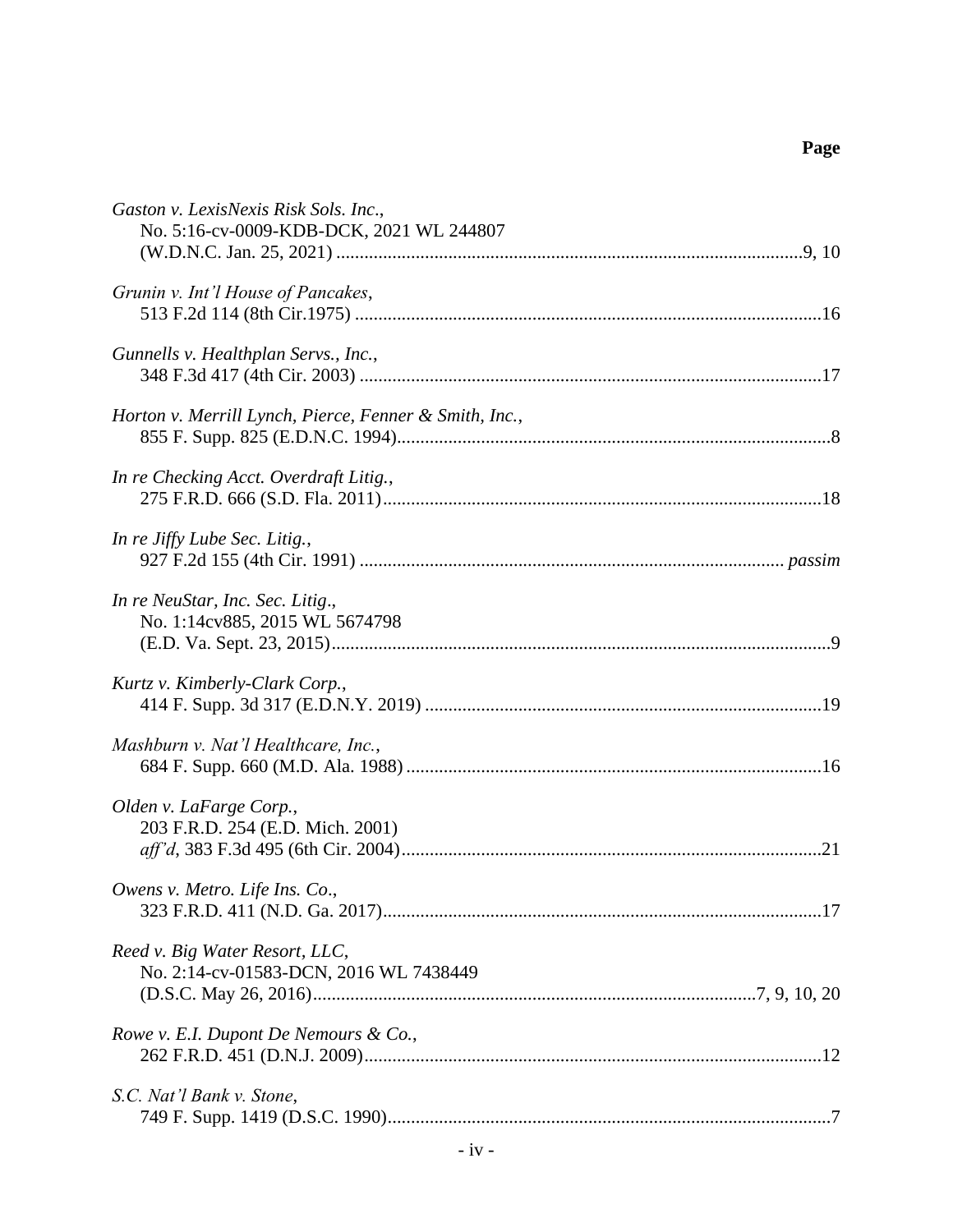| Gaston v. LexisNexis Risk Sols. Inc.,<br>No. 5:16-cv-0009-KDB-DCK, 2021 WL 244807 |
|-----------------------------------------------------------------------------------|
| Grunin v. Int'l House of Pancakes,                                                |
| Gunnells v. Healthplan Servs., Inc.,                                              |
| Horton v. Merrill Lynch, Pierce, Fenner & Smith, Inc.,                            |
| In re Checking Acct. Overdraft Litig.,                                            |
| In re Jiffy Lube Sec. Litig.,                                                     |
| In re NeuStar, Inc. Sec. Litig.,<br>No. 1:14cv885, 2015 WL 5674798                |
| Kurtz v. Kimberly-Clark Corp.,                                                    |
| Mashburn v. Nat'l Healthcare, Inc.,                                               |
| Olden v. LaFarge Corp.,<br>203 F.R.D. 254 (E.D. Mich. 2001)                       |
| Owens v. Metro. Life Ins. Co.,                                                    |
| Reed v. Big Water Resort, LLC,<br>No. 2:14-cv-01583-DCN, 2016 WL 7438449          |
| Rowe v. E.I. Dupont De Nemours & Co.,                                             |
| S.C. Nat'l Bank v. Stone,                                                         |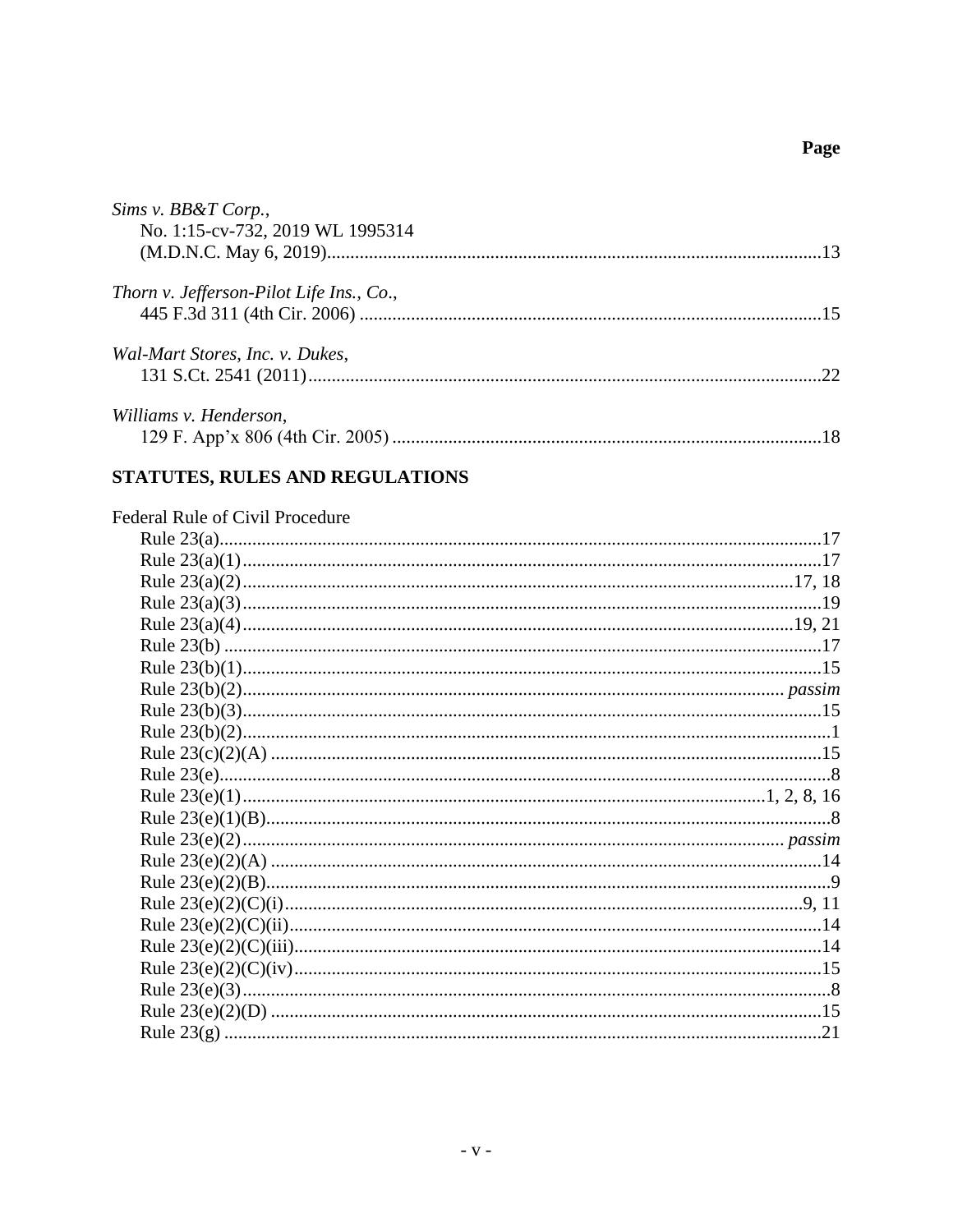Page

| Sims v. BB&T Corp.,                      |    |
|------------------------------------------|----|
| No. 1:15-cv-732, 2019 WL 1995314         |    |
|                                          |    |
| Thorn v. Jefferson-Pilot Life Ins., Co., |    |
|                                          | 15 |
| Wal-Mart Stores, Inc. v. Dukes,          |    |
|                                          | 22 |
| Williams v. Henderson,                   |    |
|                                          |    |

# STATUTES, RULES AND REGULATIONS

| Federal Rule of Civil Procedure |  |
|---------------------------------|--|
|                                 |  |
|                                 |  |
|                                 |  |
|                                 |  |
|                                 |  |
|                                 |  |
|                                 |  |
|                                 |  |
|                                 |  |
|                                 |  |
|                                 |  |
|                                 |  |
|                                 |  |
|                                 |  |
|                                 |  |
|                                 |  |
|                                 |  |
|                                 |  |
|                                 |  |
|                                 |  |
|                                 |  |
|                                 |  |
|                                 |  |
|                                 |  |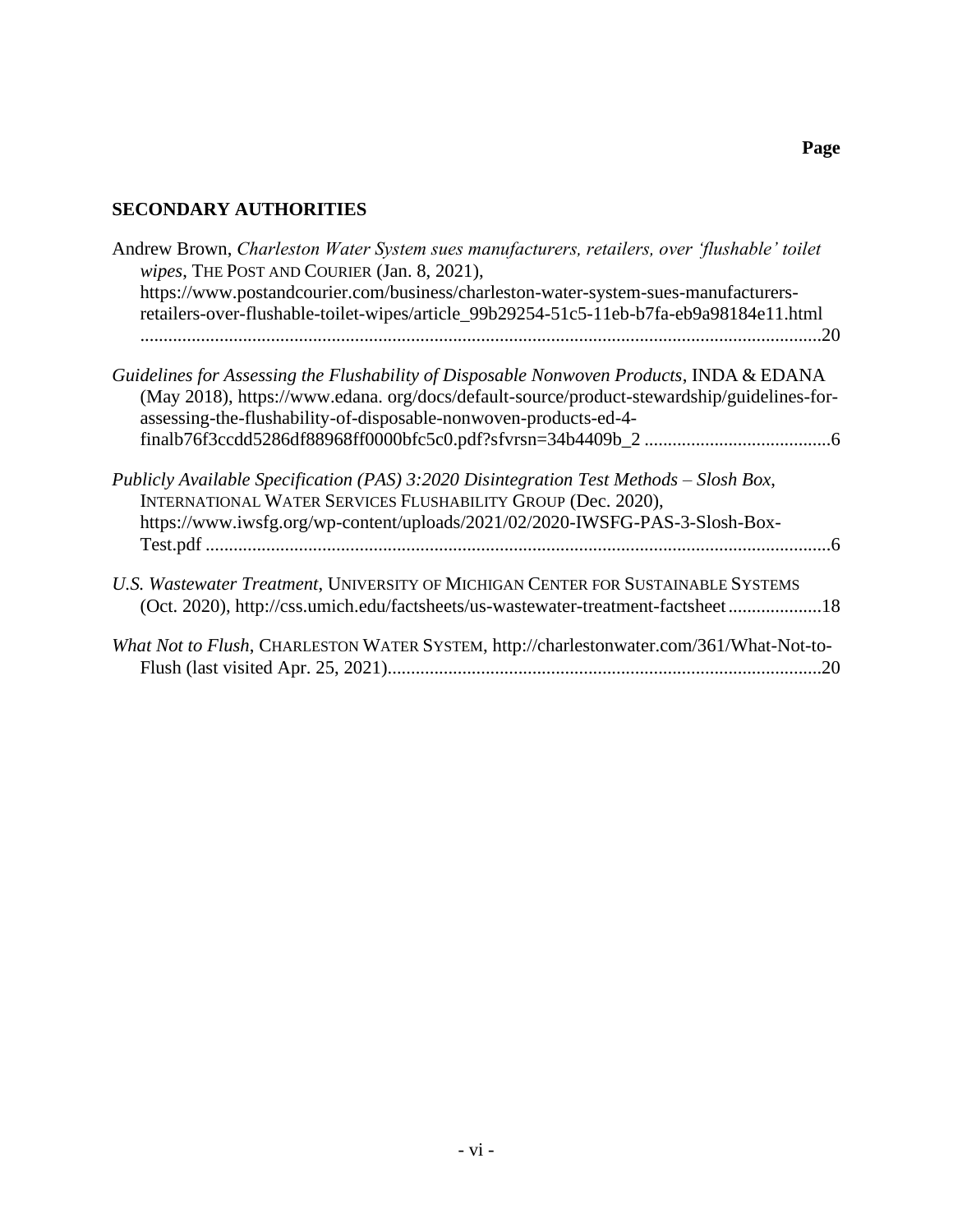## **SECONDARY AUTHORITIES**

| Andrew Brown, Charleston Water System sues manufacturers, retailers, over 'flushable' toilet<br>wipes, THE POST AND COURIER (Jan. 8, 2021),                                                                                                              |
|----------------------------------------------------------------------------------------------------------------------------------------------------------------------------------------------------------------------------------------------------------|
| https://www.postandcourier.com/business/charleston-water-system-sues-manufacturers-<br>retailers-over-flushable-toilet-wipes/article_99b29254-51c5-11eb-b7fa-eb9a98184e11.html<br>.20                                                                    |
| Guidelines for Assessing the Flushability of Disposable Nonwoven Products, INDA & EDANA<br>(May 2018), https://www.edana.org/docs/default-source/product-stewardship/guidelines-for-<br>assessing-the-flushability-of-disposable-nonwoven-products-ed-4- |
|                                                                                                                                                                                                                                                          |
| Publicly Available Specification (PAS) 3:2020 Disintegration Test Methods - Slosh Box,<br>INTERNATIONAL WATER SERVICES FLUSHABILITY GROUP (Dec. 2020),                                                                                                   |
| https://www.iwsfg.org/wp-content/uploads/2021/02/2020-IWSFG-PAS-3-Slosh-Box-                                                                                                                                                                             |
| U.S. Wastewater Treatment, UNIVERSITY OF MICHIGAN CENTER FOR SUSTAINABLE SYSTEMS<br>(Oct. 2020), http://css.umich.edu/factsheets/us-wastewater-treatment-factsheet18                                                                                     |
| What Not to Flush, CHARLESTON WATER SYSTEM, http://charlestonwater.com/361/What-Not-to-<br>.20                                                                                                                                                           |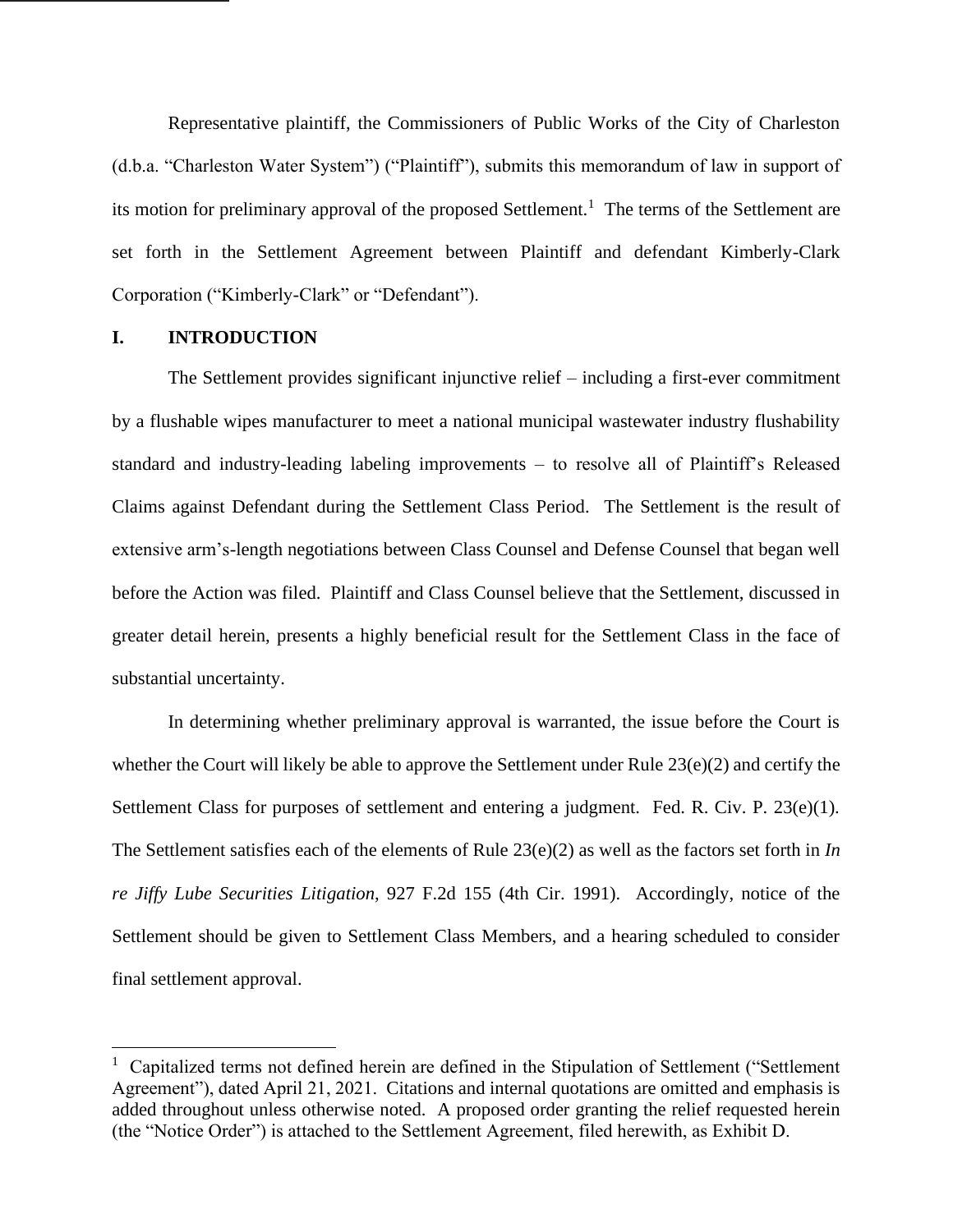Representative plaintiff, the Commissioners of Public Works of the City of Charleston (d.b.a. "Charleston Water System") ("Plaintiff"), submits this memorandum of law in support of its motion for preliminary approval of the proposed Settlement.<sup>1</sup> The terms of the Settlement are set forth in the Settlement Agreement between Plaintiff and defendant Kimberly-Clark Corporation ("Kimberly-Clark" or "Defendant").

#### **I. INTRODUCTION**

The Settlement provides significant injunctive relief – including a first-ever commitment by a flushable wipes manufacturer to meet a national municipal wastewater industry flushability standard and industry-leading labeling improvements – to resolve all of Plaintiff's Released Claims against Defendant during the Settlement Class Period. The Settlement is the result of extensive arm's-length negotiations between Class Counsel and Defense Counsel that began well before the Action was filed. Plaintiff and Class Counsel believe that the Settlement, discussed in greater detail herein, presents a highly beneficial result for the Settlement Class in the face of substantial uncertainty.

<span id="page-7-0"></span>In determining whether preliminary approval is warranted, the issue before the Court is whether the Court will likely be able to approve the Settlement under Rule  $23(e)(2)$  and certify the Settlement Class for purposes of settlement and entering a judgment. Fed. R. Civ. P. 23(e)(1). The Settlement satisfies each of the elements of Rule 23(e)(2) as well as the factors set forth in *In re Jiffy Lube Securities Litigation*, 927 F.2d 155 (4th Cir. 1991). Accordingly, notice of the Settlement should be given to Settlement Class Members, and a hearing scheduled to consider final settlement approval.

<sup>&</sup>lt;sup>1</sup> Capitalized terms not defined herein are defined in the Stipulation of Settlement ("Settlement Agreement"), dated April 21, 2021. Citations and internal quotations are omitted and emphasis is added throughout unless otherwise noted. A proposed order granting the relief requested herein (the "Notice Order") is attached to the Settlement Agreement, filed herewith, as Exhibit D.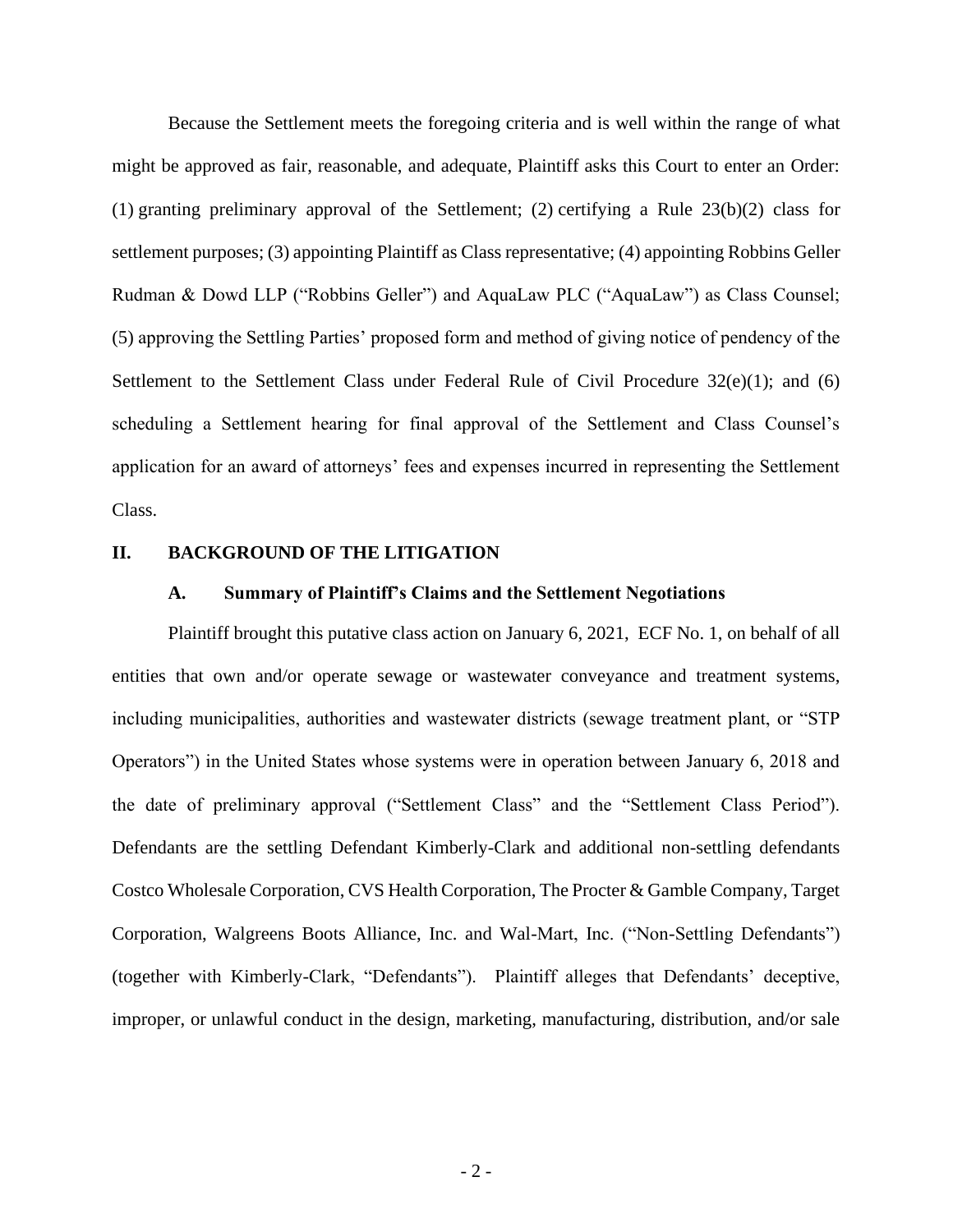Because the Settlement meets the foregoing criteria and is well within the range of what might be approved as fair, reasonable, and adequate, Plaintiff asks this Court to enter an Order: (1) granting preliminary approval of the Settlement; (2) certifying a Rule 23(b)(2) class for settlement purposes; (3) appointing Plaintiff as Class representative; (4) appointing Robbins Geller Rudman & Dowd LLP ("Robbins Geller") and AquaLaw PLC ("AquaLaw") as Class Counsel; (5) approving the Settling Parties' proposed form and method of giving notice of pendency of the Settlement to the Settlement Class under Federal Rule of Civil Procedure  $32(e)(1)$ ; and (6) scheduling a Settlement hearing for final approval of the Settlement and Class Counsel's application for an award of attorneys' fees and expenses incurred in representing the Settlement Class.

#### **II. BACKGROUND OF THE LITIGATION**

#### **A. Summary of Plaintiff's Claims and the Settlement Negotiations**

Plaintiff brought this putative class action on January 6, 2021, ECF No. 1, on behalf of all entities that own and/or operate sewage or wastewater conveyance and treatment systems, including municipalities, authorities and wastewater districts (sewage treatment plant, or "STP Operators") in the United States whose systems were in operation between January 6, 2018 and the date of preliminary approval ("Settlement Class" and the "Settlement Class Period"). Defendants are the settling Defendant Kimberly-Clark and additional non-settling defendants Costco Wholesale Corporation, CVS Health Corporation, The Procter & Gamble Company, Target Corporation, Walgreens Boots Alliance, Inc. and Wal-Mart, Inc. ("Non-Settling Defendants") (together with Kimberly-Clark, "Defendants"). Plaintiff alleges that Defendants' deceptive, improper, or unlawful conduct in the design, marketing, manufacturing, distribution, and/or sale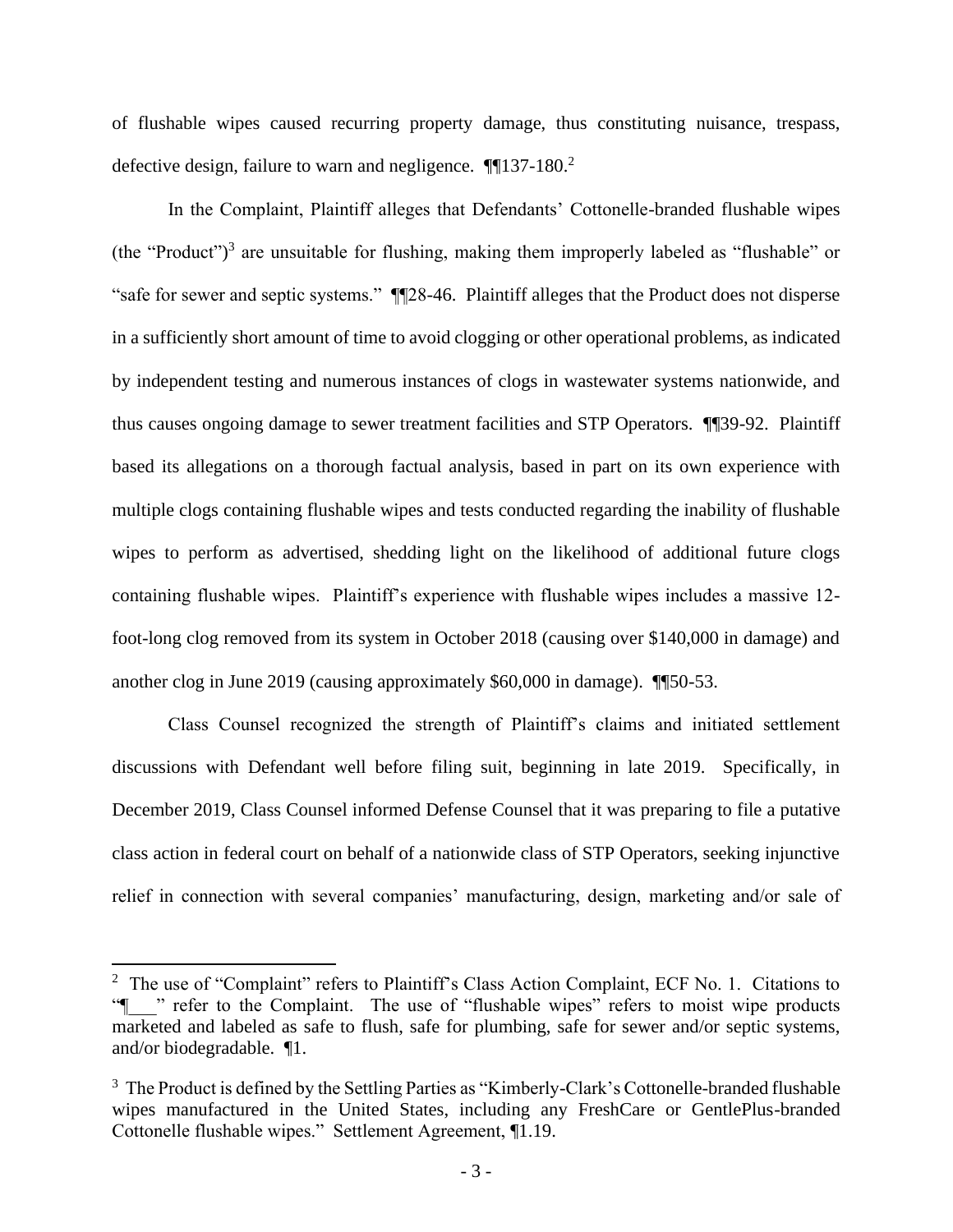of flushable wipes caused recurring property damage, thus constituting nuisance, trespass, defective design, failure to warn and negligence.  $\P$ [137-180.<sup>2</sup>

In the Complaint, Plaintiff alleges that Defendants' Cottonelle-branded flushable wipes (the "Product")<sup>3</sup> are unsuitable for flushing, making them improperly labeled as "flushable" or "safe for sewer and septic systems." ¶¶28-46. Plaintiff alleges that the Product does not disperse in a sufficiently short amount of time to avoid clogging or other operational problems, as indicated by independent testing and numerous instances of clogs in wastewater systems nationwide, and thus causes ongoing damage to sewer treatment facilities and STP Operators. ¶¶39-92. Plaintiff based its allegations on a thorough factual analysis, based in part on its own experience with multiple clogs containing flushable wipes and tests conducted regarding the inability of flushable wipes to perform as advertised, shedding light on the likelihood of additional future clogs containing flushable wipes. Plaintiff's experience with flushable wipes includes a massive 12 foot-long clog removed from its system in October 2018 (causing over \$140,000 in damage) and another clog in June 2019 (causing approximately \$60,000 in damage). ¶¶50-53.

Class Counsel recognized the strength of Plaintiff's claims and initiated settlement discussions with Defendant well before filing suit, beginning in late 2019. Specifically, in December 2019, Class Counsel informed Defense Counsel that it was preparing to file a putative class action in federal court on behalf of a nationwide class of STP Operators, seeking injunctive relief in connection with several companies' manufacturing, design, marketing and/or sale of

<sup>&</sup>lt;sup>2</sup> The use of "Complaint" refers to Plaintiff's Class Action Complaint, ECF No. 1. Citations to "The use of "flushable wipes" refers to moist wipe products" refers to moist wipe products marketed and labeled as safe to flush, safe for plumbing, safe for sewer and/or septic systems, and/or biodegradable. ¶1.

<sup>&</sup>lt;sup>3</sup> The Product is defined by the Settling Parties as "Kimberly-Clark's Cottonelle-branded flushable wipes manufactured in the United States, including any FreshCare or GentlePlus-branded Cottonelle flushable wipes." Settlement Agreement, ¶1.19.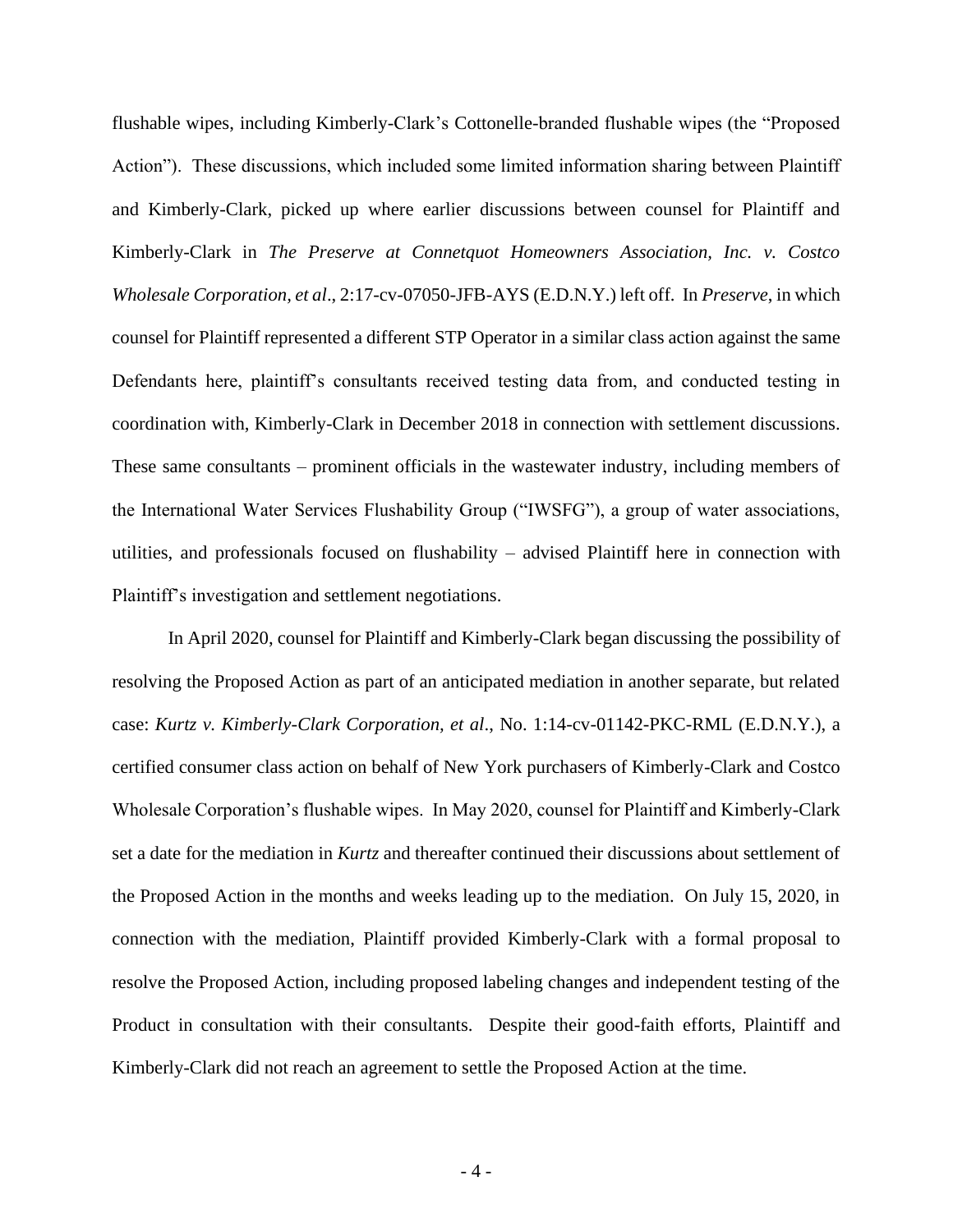flushable wipes, including Kimberly-Clark's Cottonelle-branded flushable wipes (the "Proposed Action"). These discussions, which included some limited information sharing between Plaintiff and Kimberly-Clark, picked up where earlier discussions between counsel for Plaintiff and Kimberly-Clark in *The Preserve at Connetquot Homeowners Association, Inc. v. Costco Wholesale Corporation, et al*., 2:17-cv-07050-JFB-AYS (E.D.N.Y.) left off. In *Preserve*, in which counsel for Plaintiff represented a different STP Operator in a similar class action against the same Defendants here, plaintiff's consultants received testing data from, and conducted testing in coordination with, Kimberly-Clark in December 2018 in connection with settlement discussions. These same consultants – prominent officials in the wastewater industry, including members of the International Water Services Flushability Group ("IWSFG"), a group of water associations, utilities, and professionals focused on flushability – advised Plaintiff here in connection with Plaintiff's investigation and settlement negotiations.

In April 2020, counsel for Plaintiff and Kimberly-Clark began discussing the possibility of resolving the Proposed Action as part of an anticipated mediation in another separate, but related case: *Kurtz v. Kimberly-Clark Corporation, et al*., No. 1:14-cv-01142-PKC-RML (E.D.N.Y.), a certified consumer class action on behalf of New York purchasers of Kimberly-Clark and Costco Wholesale Corporation's flushable wipes. In May 2020, counsel for Plaintiff and Kimberly-Clark set a date for the mediation in *Kurtz* and thereafter continued their discussions about settlement of the Proposed Action in the months and weeks leading up to the mediation. On July 15, 2020, in connection with the mediation, Plaintiff provided Kimberly-Clark with a formal proposal to resolve the Proposed Action, including proposed labeling changes and independent testing of the Product in consultation with their consultants. Despite their good-faith efforts, Plaintiff and Kimberly-Clark did not reach an agreement to settle the Proposed Action at the time.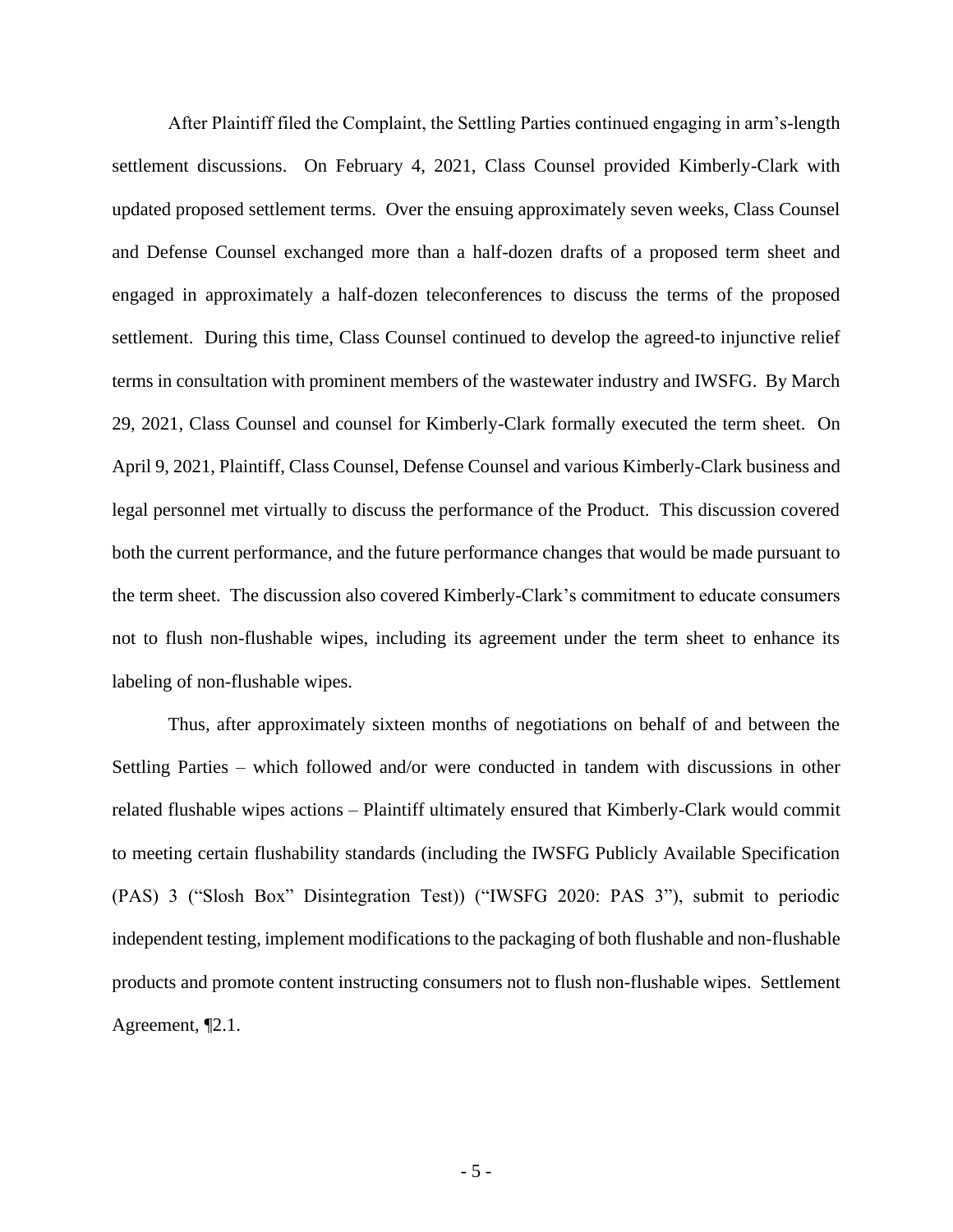After Plaintiff filed the Complaint, the Settling Parties continued engaging in arm's-length settlement discussions. On February 4, 2021, Class Counsel provided Kimberly-Clark with updated proposed settlement terms. Over the ensuing approximately seven weeks, Class Counsel and Defense Counsel exchanged more than a half-dozen drafts of a proposed term sheet and engaged in approximately a half-dozen teleconferences to discuss the terms of the proposed settlement. During this time, Class Counsel continued to develop the agreed-to injunctive relief terms in consultation with prominent members of the wastewater industry and IWSFG. By March 29, 2021, Class Counsel and counsel for Kimberly-Clark formally executed the term sheet. On April 9, 2021, Plaintiff, Class Counsel, Defense Counsel and various Kimberly-Clark business and legal personnel met virtually to discuss the performance of the Product. This discussion covered both the current performance, and the future performance changes that would be made pursuant to the term sheet. The discussion also covered Kimberly-Clark's commitment to educate consumers not to flush non-flushable wipes, including its agreement under the term sheet to enhance its labeling of non-flushable wipes.

Thus, after approximately sixteen months of negotiations on behalf of and between the Settling Parties – which followed and/or were conducted in tandem with discussions in other related flushable wipes actions – Plaintiff ultimately ensured that Kimberly-Clark would commit to meeting certain flushability standards (including the IWSFG Publicly Available Specification (PAS) 3 ("Slosh Box" Disintegration Test)) ("IWSFG 2020: PAS 3"), submit to periodic independent testing, implement modifications to the packaging of both flushable and non-flushable products and promote content instructing consumers not to flush non-flushable wipes. Settlement Agreement, ¶2.1.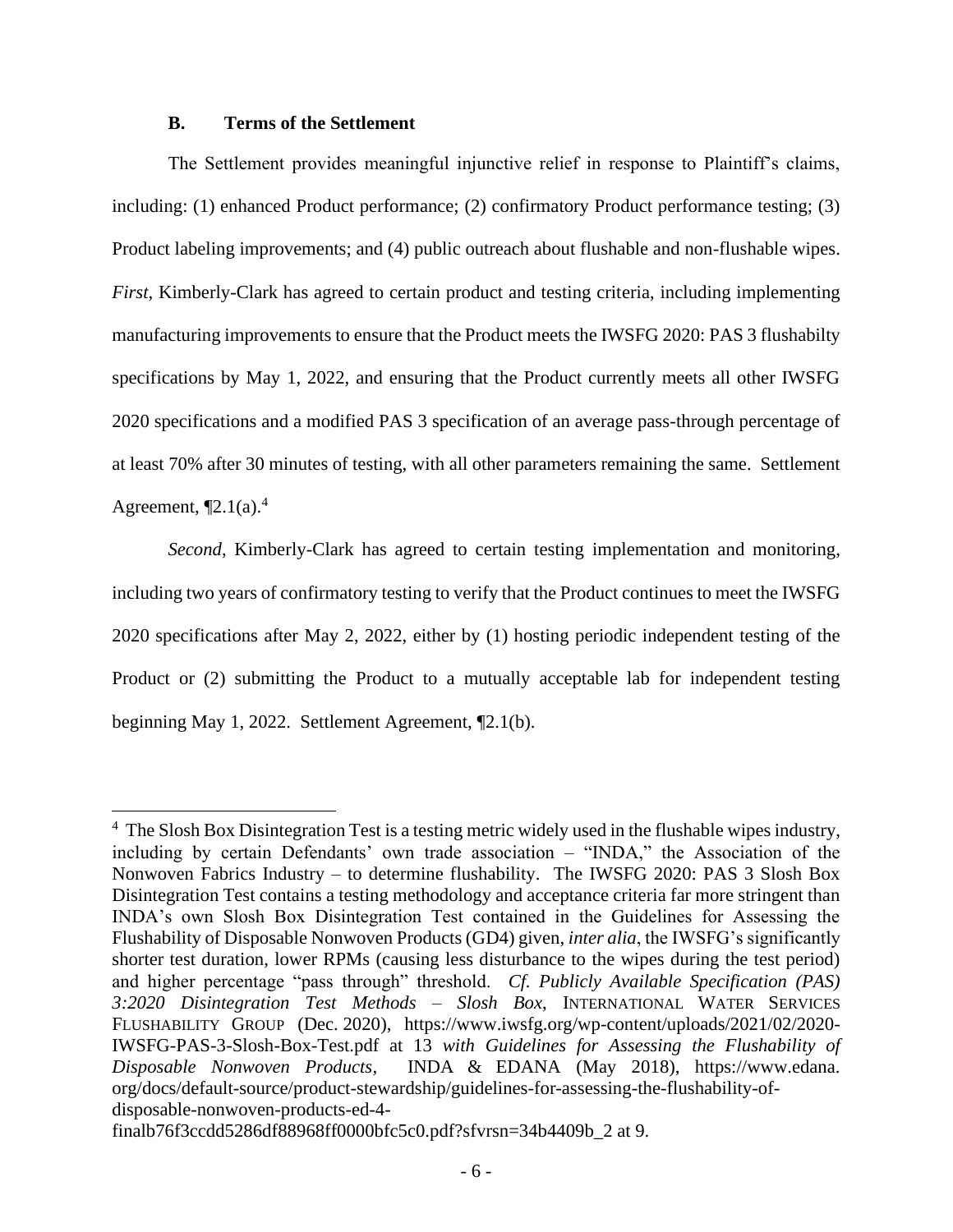#### **B. Terms of the Settlement**

The Settlement provides meaningful injunctive relief in response to Plaintiff's claims, including: (1) enhanced Product performance; (2) confirmatory Product performance testing; (3) Product labeling improvements; and (4) public outreach about flushable and non-flushable wipes. *First*, Kimberly-Clark has agreed to certain product and testing criteria, including implementing manufacturing improvements to ensure that the Product meets the IWSFG 2020: PAS 3 flushabilty specifications by May 1, 2022, and ensuring that the Product currently meets all other IWSFG 2020 specifications and a modified PAS 3 specification of an average pass-through percentage of at least 70% after 30 minutes of testing, with all other parameters remaining the same. Settlement Agreement,  $\P$ 2.1(a).<sup>4</sup>

*Second*, Kimberly-Clark has agreed to certain testing implementation and monitoring, including two years of confirmatory testing to verify that the Product continues to meet the IWSFG 2020 specifications after May 2, 2022, either by (1) hosting periodic independent testing of the Product or (2) submitting the Product to a mutually acceptable lab for independent testing beginning May 1, 2022. Settlement Agreement, ¶2.1(b).

<sup>&</sup>lt;sup>4</sup> The Slosh Box Disintegration Test is a testing metric widely used in the flushable wipes industry, including by certain Defendants' own trade association – "INDA," the Association of the Nonwoven Fabrics Industry – to determine flushability. The IWSFG 2020: PAS 3 Slosh Box Disintegration Test contains a testing methodology and acceptance criteria far more stringent than INDA's own Slosh Box Disintegration Test contained in the Guidelines for Assessing the Flushability of Disposable Nonwoven Products (GD4) given, *inter alia*, the IWSFG's significantly shorter test duration, lower RPMs (causing less disturbance to the wipes during the test period) and higher percentage "pass through" threshold. *Cf. Publicly Available Specification (PAS) 3:2020 Disintegration Test Methods – Slosh Box*, INTERNATIONAL WATER SERVICES FLUSHABILITY GROUP (Dec. 2020), https://www.iwsfg.org/wp-content/uploads/2021/02/2020- IWSFG-PAS-3-Slosh-Box-Test.pdf at 13 *with Guidelines for Assessing the Flushability of Disposable Nonwoven Products*, INDA & EDANA (May 2018), https://www.edana. org/docs/default-source/product-stewardship/guidelines-for-assessing-the-flushability-ofdisposable-nonwoven-products-ed-4-

<span id="page-12-1"></span><span id="page-12-0"></span>finalb76f3ccdd5286df88968ff0000bfc5c0.pdf?sfvrsn=34b4409b\_2 at 9.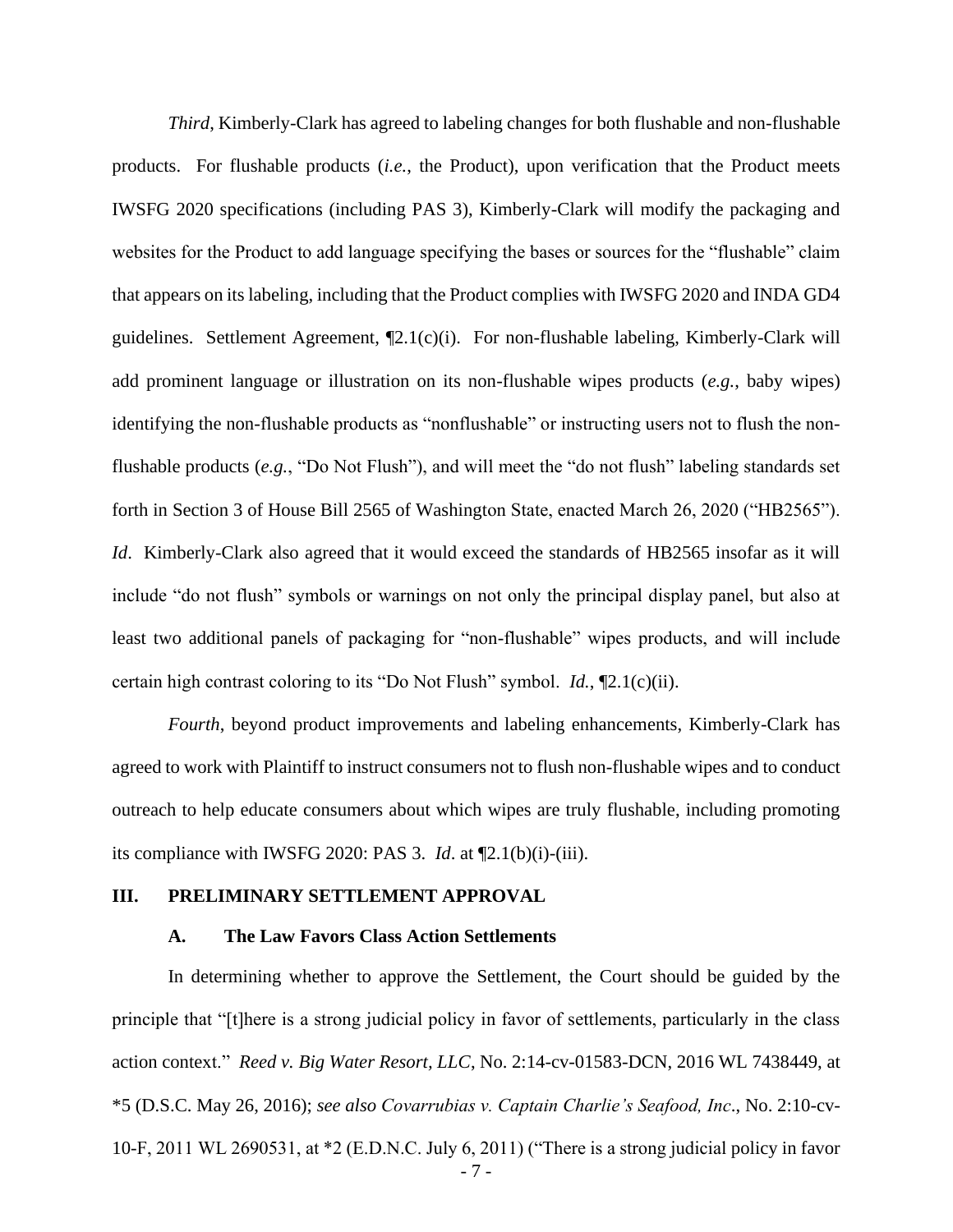*Third*, Kimberly-Clark has agreed to labeling changes for both flushable and non-flushable products. For flushable products (*i.e.*, the Product), upon verification that the Product meets IWSFG 2020 specifications (including PAS 3), Kimberly-Clark will modify the packaging and websites for the Product to add language specifying the bases or sources for the "flushable" claim that appears on its labeling, including that the Product complies with IWSFG 2020 and INDA GD4 guidelines. Settlement Agreement, ¶2.1(c)(i). For non-flushable labeling, Kimberly-Clark will add prominent language or illustration on its non-flushable wipes products (*e.g.*, baby wipes) identifying the non-flushable products as "nonflushable" or instructing users not to flush the nonflushable products (*e.g.*, "Do Not Flush"), and will meet the "do not flush" labeling standards set forth in Section 3 of House Bill 2565 of Washington State, enacted March 26, 2020 ("HB2565"). *Id.* Kimberly-Clark also agreed that it would exceed the standards of HB2565 insofar as it will include "do not flush" symbols or warnings on not only the principal display panel, but also at least two additional panels of packaging for "non-flushable" wipes products, and will include certain high contrast coloring to its "Do Not Flush" symbol. *Id.*, ¶2.1(c)(ii).

*Fourth*, beyond product improvements and labeling enhancements, Kimberly-Clark has agreed to work with Plaintiff to instruct consumers not to flush non-flushable wipes and to conduct outreach to help educate consumers about which wipes are truly flushable, including promoting its compliance with IWSFG 2020: PAS 3. *Id*. at ¶2.1(b)(i)-(iii).

#### **III. PRELIMINARY SETTLEMENT APPROVAL**

#### <span id="page-13-1"></span><span id="page-13-0"></span>**A. The Law Favors Class Action Settlements**

- 7 - In determining whether to approve the Settlement, the Court should be guided by the principle that "[t]here is a strong judicial policy in favor of settlements, particularly in the class action context." *Reed v. Big Water Resort, LLC*, No. 2:14-cv-01583-DCN, 2016 WL 7438449, at \*5 (D.S.C. May 26, 2016); *see also Covarrubias v. Captain Charlie's Seafood, Inc*., No. 2:10-cv-10-F, 2011 WL 2690531, at \*2 (E.D.N.C. July 6, 2011) ("There is a strong judicial policy in favor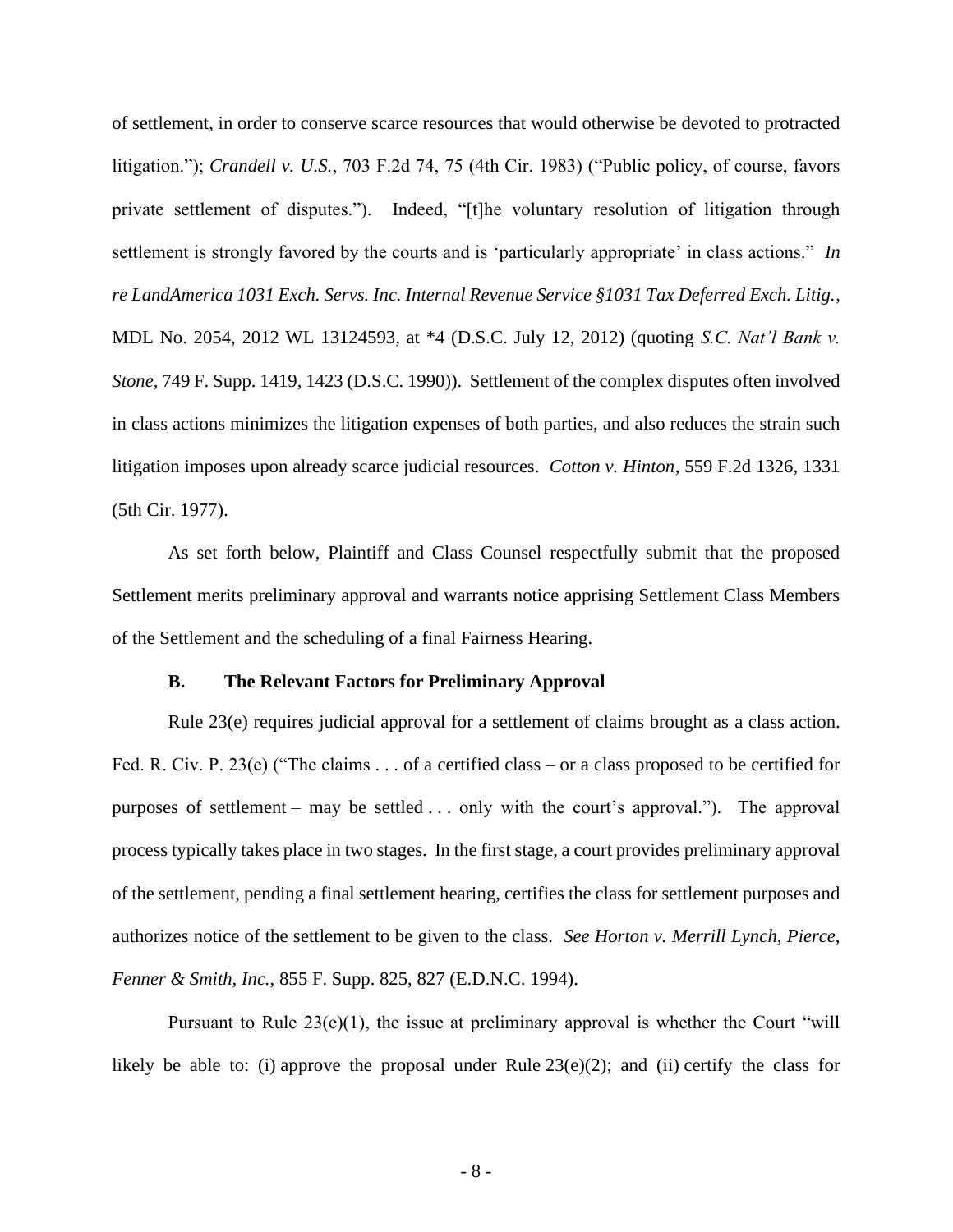<span id="page-14-3"></span><span id="page-14-1"></span>of settlement, in order to conserve scarce resources that would otherwise be devoted to protracted litigation."); *Crandell v. U.S.*, 703 F.2d 74, 75 (4th Cir. 1983) ("Public policy, of course, favors private settlement of disputes."). Indeed, "[t]he voluntary resolution of litigation through settlement is strongly favored by the courts and is 'particularly appropriate' in class actions." *In re LandAmerica 1031 Exch. Servs. Inc. Internal Revenue Service §1031 Tax Deferred Exch. Litig.*, MDL No. 2054, 2012 WL 13124593, at \*4 (D.S.C. July 12, 2012) (quoting *S.C. Nat'l Bank v. Stone*, 749 F. Supp. 1419, 1423 (D.S.C. 1990)). Settlement of the complex disputes often involved in class actions minimizes the litigation expenses of both parties, and also reduces the strain such litigation imposes upon already scarce judicial resources. *Cotton v. Hinton*, 559 F.2d 1326, 1331 (5th Cir. 1977).

As set forth below, Plaintiff and Class Counsel respectfully submit that the proposed Settlement merits preliminary approval and warrants notice apprising Settlement Class Members of the Settlement and the scheduling of a final Fairness Hearing.

#### <span id="page-14-0"></span>**B. The Relevant Factors for Preliminary Approval**

Rule 23(e) requires judicial approval for a settlement of claims brought as a class action. Fed. R. Civ. P. 23(e) ("The claims . . . of a certified class – or a class proposed to be certified for purposes of settlement – may be settled . . . only with the court's approval."). The approval process typically takes place in two stages. In the first stage, a court provides preliminary approval of the settlement, pending a final settlement hearing, certifies the class for settlement purposes and authorizes notice of the settlement to be given to the class. *See Horton v. Merrill Lynch, Pierce, Fenner & Smith, Inc.*, 855 F. Supp. 825, 827 (E.D.N.C. 1994).

<span id="page-14-2"></span>Pursuant to Rule  $23(e)(1)$ , the issue at preliminary approval is whether the Court "will likely be able to: (i) approve the proposal under Rule  $23(e)(2)$ ; and (ii) certify the class for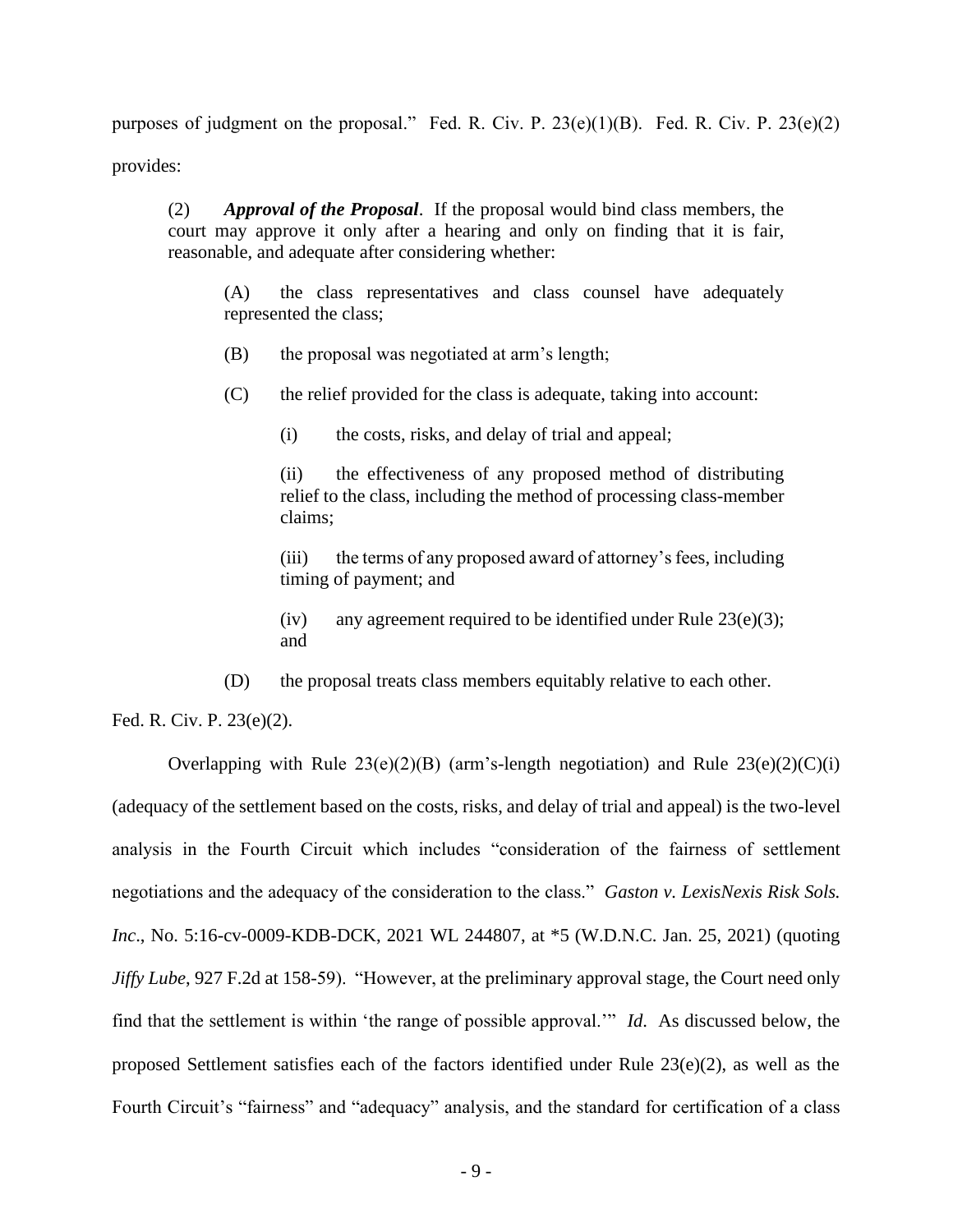purposes of judgment on the proposal." Fed. R. Civ. P.  $23(e)(1)(B)$ . Fed. R. Civ. P.  $23(e)(2)$ 

provides:

(2) *Approval of the Proposal*. If the proposal would bind class members, the court may approve it only after a hearing and only on finding that it is fair, reasonable, and adequate after considering whether:

(A) the class representatives and class counsel have adequately represented the class;

(B) the proposal was negotiated at arm's length;

(C) the relief provided for the class is adequate, taking into account:

(i) the costs, risks, and delay of trial and appeal;

(ii) the effectiveness of any proposed method of distributing relief to the class, including the method of processing class-member claims;

(iii) the terms of any proposed award of attorney's fees, including timing of payment; and

<span id="page-15-0"></span>(iv) any agreement required to be identified under Rule  $23(e)(3)$ ; and

(D) the proposal treats class members equitably relative to each other.

Fed. R. Civ. P. 23(e)(2).

Overlapping with Rule  $23(e)(2)(B)$  (arm's-length negotiation) and Rule  $23(e)(2)(C)(i)$ (adequacy of the settlement based on the costs, risks, and delay of trial and appeal) is the two-level analysis in the Fourth Circuit which includes "consideration of the fairness of settlement negotiations and the adequacy of the consideration to the class." *Gaston v. LexisNexis Risk Sols. Inc*., No. 5:16-cv-0009-KDB-DCK, 2021 WL 244807, at \*5 (W.D.N.C. Jan. 25, 2021) (quoting *Jiffy Lube*, 927 F.2d at 158-59). "However, at the preliminary approval stage, the Court need only find that the settlement is within 'the range of possible approval.'" *Id*. As discussed below, the proposed Settlement satisfies each of the factors identified under Rule 23(e)(2), as well as the Fourth Circuit's "fairness" and "adequacy" analysis, and the standard for certification of a class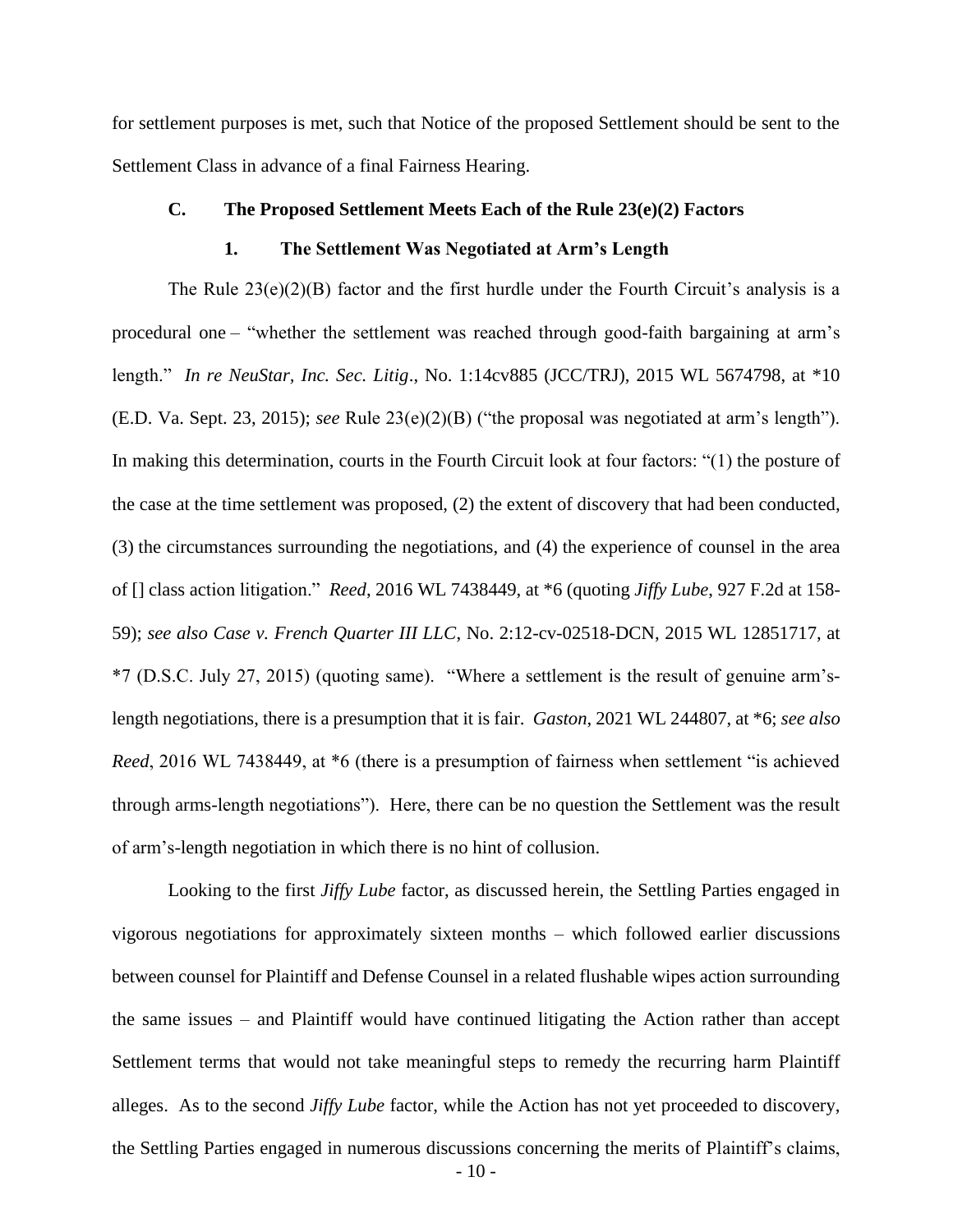for settlement purposes is met, such that Notice of the proposed Settlement should be sent to the Settlement Class in advance of a final Fairness Hearing.

#### **C. The Proposed Settlement Meets Each of the Rule 23(e)(2) Factors**

#### <span id="page-16-3"></span>**1. The Settlement Was Negotiated at Arm's Length**

<span id="page-16-2"></span>The Rule  $23(e)(2)(B)$  factor and the first hurdle under the Fourth Circuit's analysis is a procedural one – "whether the settlement was reached through good-faith bargaining at arm's length." *In re NeuStar, Inc. Sec. Litig*., No. 1:14cv885 (JCC/TRJ), 2015 WL 5674798, at \*10 (E.D. Va. Sept. 23, 2015); *see* Rule 23(e)(2)(B) ("the proposal was negotiated at arm's length"). In making this determination, courts in the Fourth Circuit look at four factors: "(1) the posture of the case at the time settlement was proposed, (2) the extent of discovery that had been conducted, (3) the circumstances surrounding the negotiations, and (4) the experience of counsel in the area of [] class action litigation." *Reed*, 2016 WL 7438449, at \*6 (quoting *Jiffy Lube*, 927 F.2d at 158- 59); *see also Case v. French Quarter III LLC*, No. 2:12-cv-02518-DCN, 2015 WL 12851717, at \*7 (D.S.C. July 27, 2015) (quoting same). "Where a settlement is the result of genuine arm'slength negotiations, there is a presumption that it is fair. *Gaston*, 2021 WL 244807, at \*6; *see also Reed*, 2016 WL 7438449, at \*6 (there is a presumption of fairness when settlement "is achieved through arms-length negotiations"). Here, there can be no question the Settlement was the result of arm's-length negotiation in which there is no hint of collusion.

<span id="page-16-4"></span><span id="page-16-1"></span><span id="page-16-0"></span>Looking to the first *Jiffy Lube* factor, as discussed herein, the Settling Parties engaged in vigorous negotiations for approximately sixteen months – which followed earlier discussions between counsel for Plaintiff and Defense Counsel in a related flushable wipes action surrounding the same issues – and Plaintiff would have continued litigating the Action rather than accept Settlement terms that would not take meaningful steps to remedy the recurring harm Plaintiff alleges. As to the second *Jiffy Lube* factor, while the Action has not yet proceeded to discovery, the Settling Parties engaged in numerous discussions concerning the merits of Plaintiff's claims,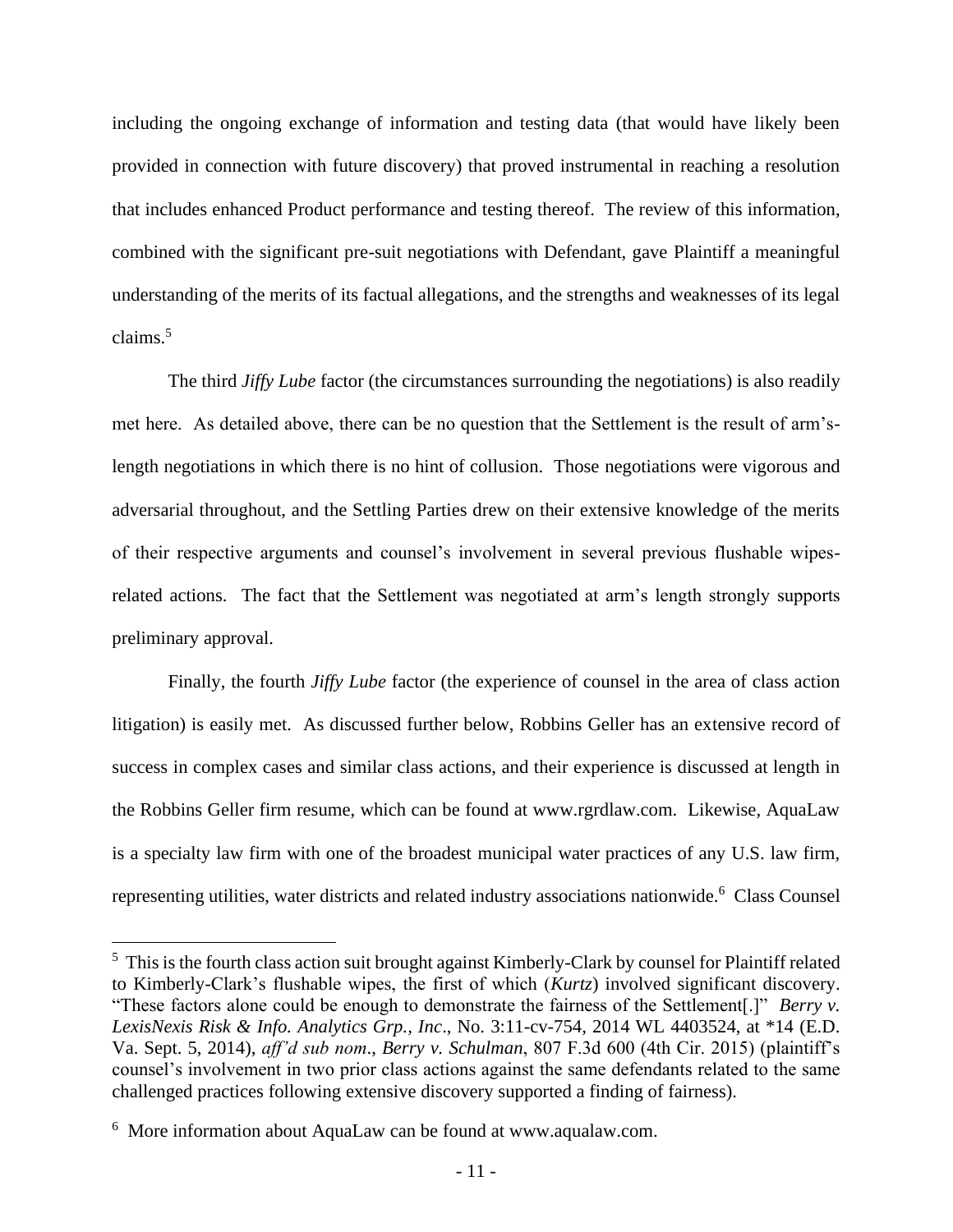including the ongoing exchange of information and testing data (that would have likely been provided in connection with future discovery) that proved instrumental in reaching a resolution that includes enhanced Product performance and testing thereof. The review of this information, combined with the significant pre-suit negotiations with Defendant, gave Plaintiff a meaningful understanding of the merits of its factual allegations, and the strengths and weaknesses of its legal claims.<sup>5</sup>

The third *Jiffy Lube* factor (the circumstances surrounding the negotiations) is also readily met here. As detailed above, there can be no question that the Settlement is the result of arm'slength negotiations in which there is no hint of collusion. Those negotiations were vigorous and adversarial throughout, and the Settling Parties drew on their extensive knowledge of the merits of their respective arguments and counsel's involvement in several previous flushable wipesrelated actions. The fact that the Settlement was negotiated at arm's length strongly supports preliminary approval.

Finally, the fourth *Jiffy Lube* factor (the experience of counsel in the area of class action litigation) is easily met. As discussed further below, Robbins Geller has an extensive record of success in complex cases and similar class actions, and their experience is discussed at length in the Robbins Geller firm resume, which can be found at www.rgrdlaw.com. Likewise, AquaLaw is a specialty law firm with one of the broadest municipal water practices of any U.S. law firm, representing utilities, water districts and related industry associations nationwide.<sup>6</sup> Class Counsel

<span id="page-17-0"></span><sup>&</sup>lt;sup>5</sup> This is the fourth class action suit brought against Kimberly-Clark by counsel for Plaintiff related to Kimberly-Clark's flushable wipes, the first of which (*Kurtz*) involved significant discovery. "These factors alone could be enough to demonstrate the fairness of the Settlement[.]" *Berry v. LexisNexis Risk & Info. Analytics Grp., Inc*., No. 3:11-cv-754, 2014 WL 4403524, at \*14 (E.D. Va. Sept. 5, 2014), *aff'd sub nom*., *Berry v. Schulman*, 807 F.3d 600 (4th Cir. 2015) (plaintiff's counsel's involvement in two prior class actions against the same defendants related to the same challenged practices following extensive discovery supported a finding of fairness).

<sup>6</sup> More information about AquaLaw can be found at www.aqualaw.com.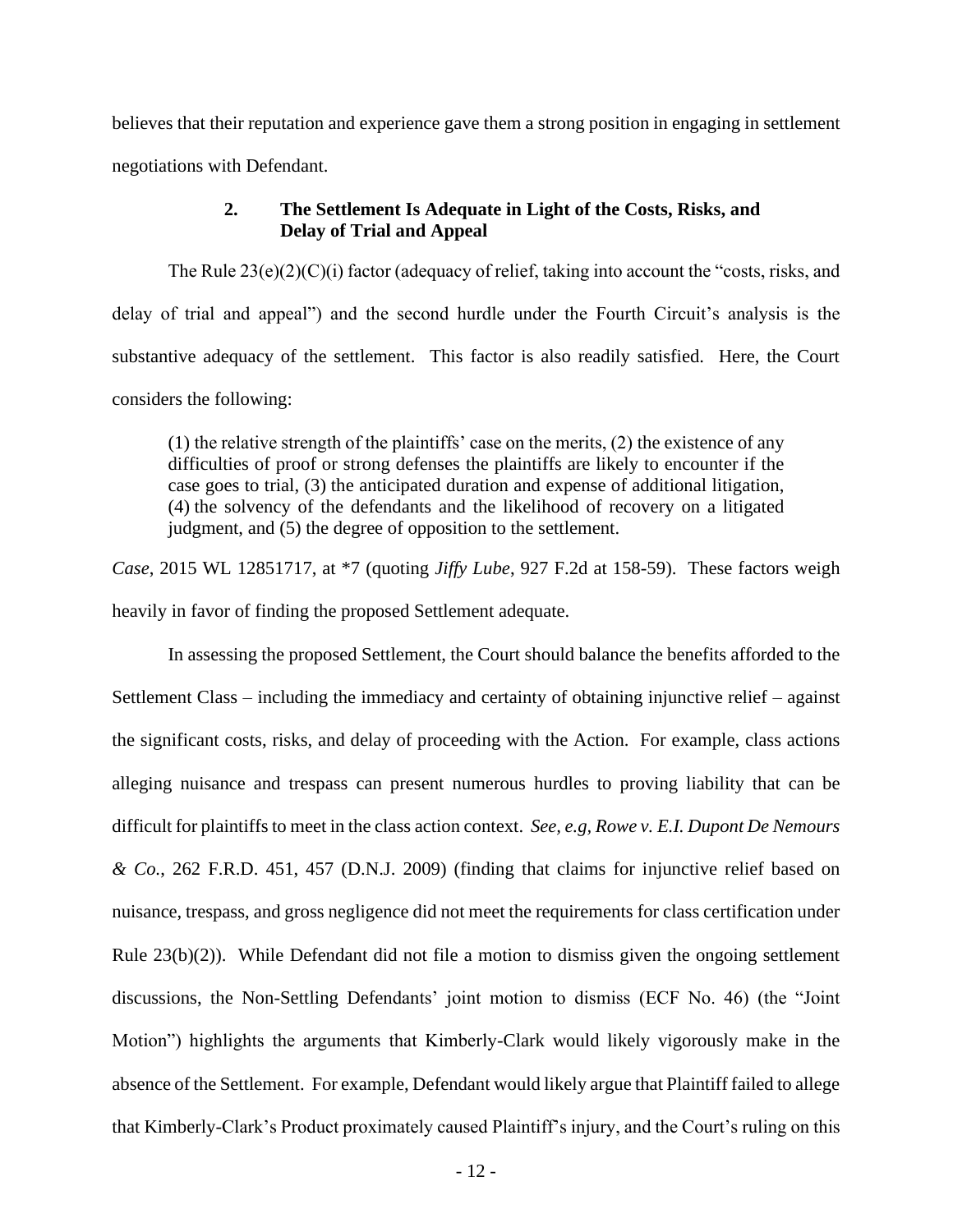believes that their reputation and experience gave them a strong position in engaging in settlement negotiations with Defendant.

#### **2. The Settlement Is Adequate in Light of the Costs, Risks, and Delay of Trial and Appeal**

The Rule  $23(e)(2)(C)(i)$  factor (adequacy of relief, taking into account the "costs, risks, and delay of trial and appeal") and the second hurdle under the Fourth Circuit's analysis is the substantive adequacy of the settlement. This factor is also readily satisfied. Here, the Court considers the following:

(1) the relative strength of the plaintiffs' case on the merits, (2) the existence of any difficulties of proof or strong defenses the plaintiffs are likely to encounter if the case goes to trial, (3) the anticipated duration and expense of additional litigation, (4) the solvency of the defendants and the likelihood of recovery on a litigated judgment, and (5) the degree of opposition to the settlement.

<span id="page-18-0"></span>*Case*, 2015 WL 12851717, at \*7 (quoting *Jiffy Lube*, 927 F.2d at 158-59). These factors weigh heavily in favor of finding the proposed Settlement adequate.

<span id="page-18-1"></span>In assessing the proposed Settlement, the Court should balance the benefits afforded to the Settlement Class – including the immediacy and certainty of obtaining injunctive relief – against the significant costs, risks, and delay of proceeding with the Action. For example, class actions alleging nuisance and trespass can present numerous hurdles to proving liability that can be difficult for plaintiffs to meet in the class action context. *See, e.g, Rowe v. E.I. Dupont De Nemours & Co.*, 262 F.R.D. 451, 457 (D.N.J. 2009) (finding that claims for injunctive relief based on nuisance, trespass, and gross negligence did not meet the requirements for class certification under Rule 23(b)(2)). While Defendant did not file a motion to dismiss given the ongoing settlement discussions, the Non-Settling Defendants' joint motion to dismiss (ECF No. 46) (the "Joint Motion") highlights the arguments that Kimberly-Clark would likely vigorously make in the absence of the Settlement. For example, Defendant would likely argue that Plaintiff failed to allege that Kimberly-Clark's Product proximately caused Plaintiff's injury, and the Court's ruling on this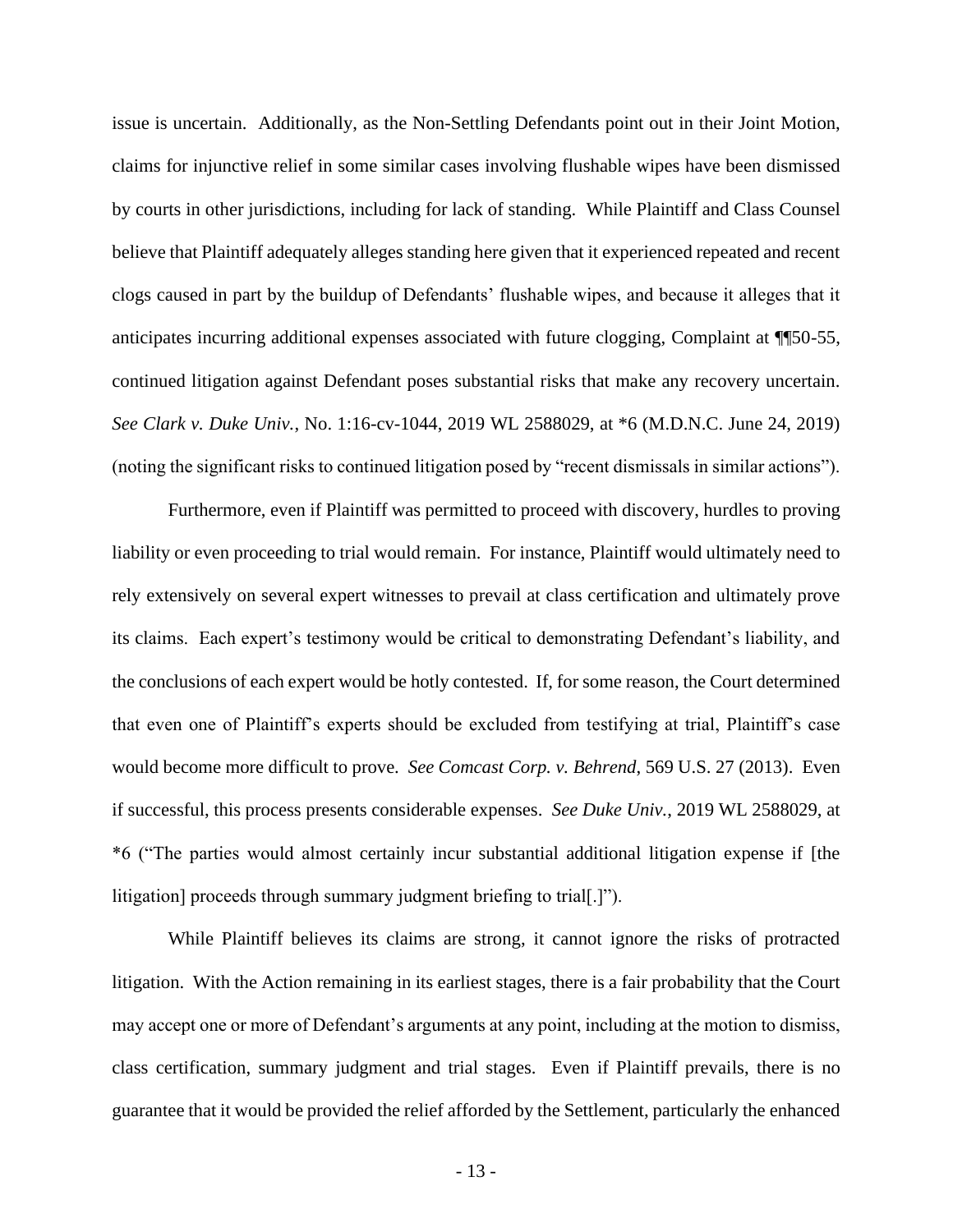issue is uncertain. Additionally, as the Non-Settling Defendants point out in their Joint Motion, claims for injunctive relief in some similar cases involving flushable wipes have been dismissed by courts in other jurisdictions, including for lack of standing. While Plaintiff and Class Counsel believe that Plaintiff adequately alleges standing here given that it experienced repeated and recent clogs caused in part by the buildup of Defendants' flushable wipes, and because it alleges that it anticipates incurring additional expenses associated with future clogging, Complaint at ¶¶50-55, continued litigation against Defendant poses substantial risks that make any recovery uncertain. *See Clark v. Duke Univ.*, No. 1:16-cv-1044, 2019 WL 2588029, at \*6 (M.D.N.C. June 24, 2019) (noting the significant risks to continued litigation posed by "recent dismissals in similar actions").

<span id="page-19-0"></span>Furthermore, even if Plaintiff was permitted to proceed with discovery, hurdles to proving liability or even proceeding to trial would remain. For instance, Plaintiff would ultimately need to rely extensively on several expert witnesses to prevail at class certification and ultimately prove its claims. Each expert's testimony would be critical to demonstrating Defendant's liability, and the conclusions of each expert would be hotly contested. If, for some reason, the Court determined that even one of Plaintiff's experts should be excluded from testifying at trial, Plaintiff's case would become more difficult to prove. *See Comcast Corp. v. Behrend*, 569 U.S. 27 (2013). Even if successful, this process presents considerable expenses. *See Duke Univ.*, 2019 WL 2588029, at \*6 ("The parties would almost certainly incur substantial additional litigation expense if [the litigation] proceeds through summary judgment briefing to trial[.]").

<span id="page-19-2"></span><span id="page-19-1"></span>While Plaintiff believes its claims are strong, it cannot ignore the risks of protracted litigation. With the Action remaining in its earliest stages, there is a fair probability that the Court may accept one or more of Defendant's arguments at any point, including at the motion to dismiss, class certification, summary judgment and trial stages. Even if Plaintiff prevails, there is no guarantee that it would be provided the relief afforded by the Settlement, particularly the enhanced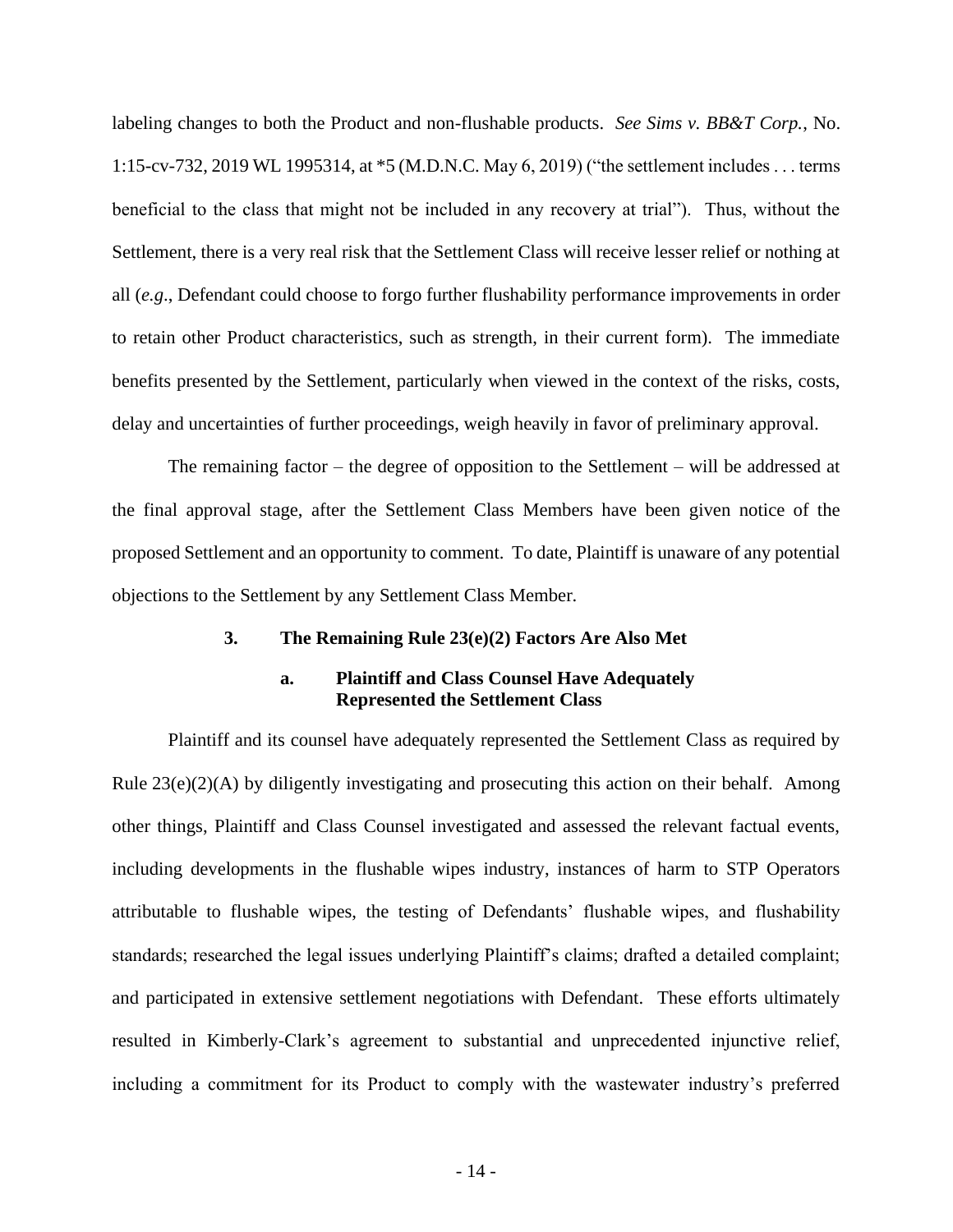<span id="page-20-0"></span>labeling changes to both the Product and non-flushable products. *See Sims v. BB&T Corp.*, No. 1:15-cv-732, 2019 WL 1995314, at \*5 (M.D.N.C. May 6, 2019) ("the settlement includes . . . terms beneficial to the class that might not be included in any recovery at trial"). Thus, without the Settlement, there is a very real risk that the Settlement Class will receive lesser relief or nothing at all (*e.g*., Defendant could choose to forgo further flushability performance improvements in order to retain other Product characteristics, such as strength, in their current form). The immediate benefits presented by the Settlement, particularly when viewed in the context of the risks, costs, delay and uncertainties of further proceedings, weigh heavily in favor of preliminary approval.

The remaining factor – the degree of opposition to the Settlement – will be addressed at the final approval stage, after the Settlement Class Members have been given notice of the proposed Settlement and an opportunity to comment. To date, Plaintiff is unaware of any potential objections to the Settlement by any Settlement Class Member.

#### **3. The Remaining Rule 23(e)(2) Factors Are Also Met**

#### **a. Plaintiff and Class Counsel Have Adequately Represented the Settlement Class**

Plaintiff and its counsel have adequately represented the Settlement Class as required by Rule  $23(e)(2)(A)$  by diligently investigating and prosecuting this action on their behalf. Among other things, Plaintiff and Class Counsel investigated and assessed the relevant factual events, including developments in the flushable wipes industry, instances of harm to STP Operators attributable to flushable wipes, the testing of Defendants' flushable wipes, and flushability standards; researched the legal issues underlying Plaintiff's claims; drafted a detailed complaint; and participated in extensive settlement negotiations with Defendant. These efforts ultimately resulted in Kimberly-Clark's agreement to substantial and unprecedented injunctive relief, including a commitment for its Product to comply with the wastewater industry's preferred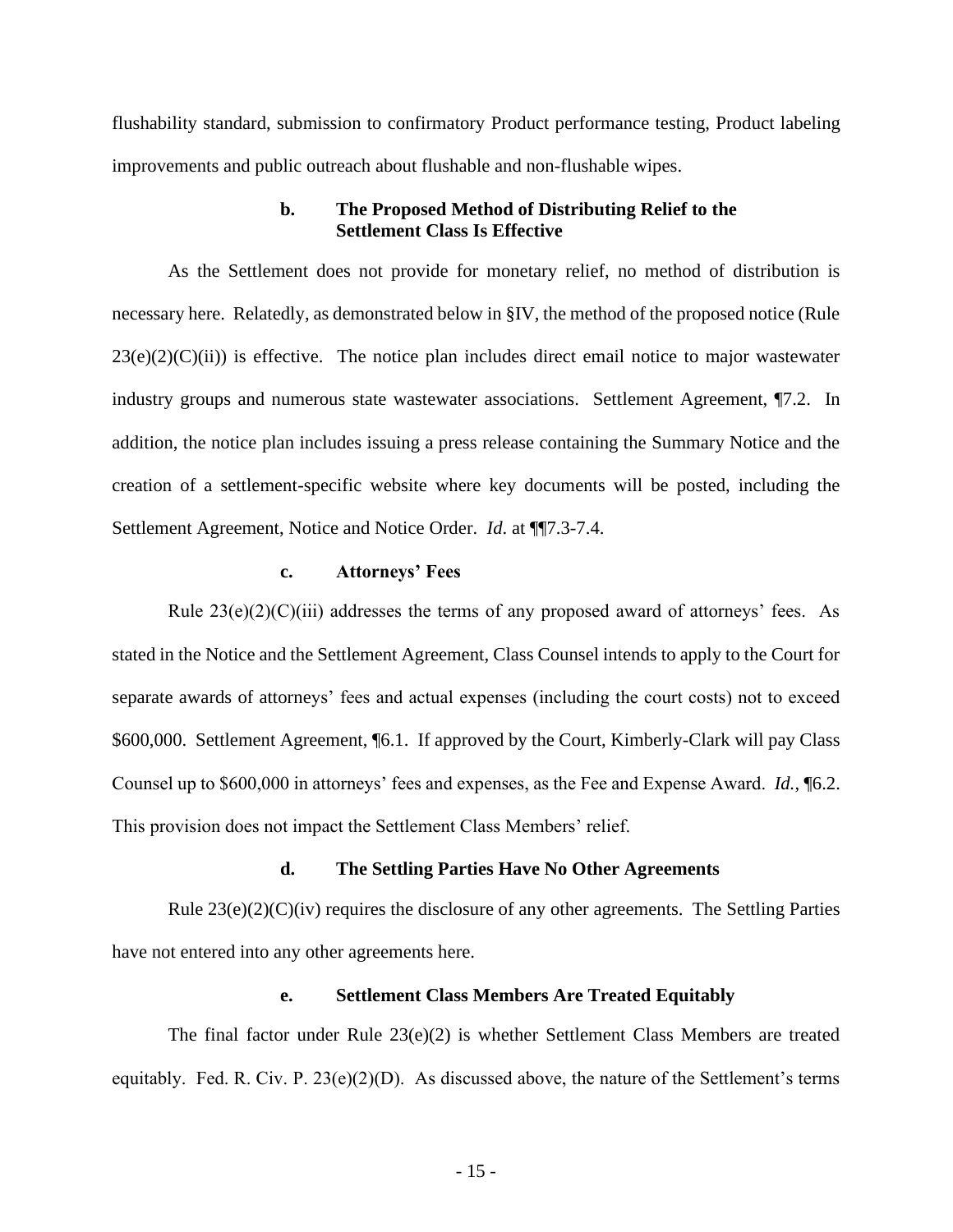flushability standard, submission to confirmatory Product performance testing, Product labeling improvements and public outreach about flushable and non-flushable wipes.

#### **b. The Proposed Method of Distributing Relief to the Settlement Class Is Effective**

As the Settlement does not provide for monetary relief, no method of distribution is necessary here. Relatedly, as demonstrated below in §IV, the method of the proposed notice (Rule  $23(e)(2)(C)(ii)$ ) is effective. The notice plan includes direct email notice to major wastewater industry groups and numerous state wastewater associations. Settlement Agreement, ¶7.2. In addition, the notice plan includes issuing a press release containing the Summary Notice and the creation of a settlement-specific website where key documents will be posted, including the Settlement Agreement, Notice and Notice Order. *Id*. at ¶¶7.3-7.4.

#### **c. Attorneys' Fees**

Rule  $23(e)(2)(C)(iii)$  addresses the terms of any proposed award of attorneys' fees. As stated in the Notice and the Settlement Agreement, Class Counsel intends to apply to the Court for separate awards of attorneys' fees and actual expenses (including the court costs) not to exceed \$600,000. Settlement Agreement, ¶6.1. If approved by the Court, Kimberly-Clark will pay Class Counsel up to \$600,000 in attorneys' fees and expenses, as the Fee and Expense Award. *Id.*, ¶6.2. This provision does not impact the Settlement Class Members' relief.

#### **d. The Settling Parties Have No Other Agreements**

Rule  $23(e)(2)(C)(iv)$  requires the disclosure of any other agreements. The Settling Parties have not entered into any other agreements here.

#### **e. Settlement Class Members Are Treated Equitably**

The final factor under Rule  $23(e)(2)$  is whether Settlement Class Members are treated equitably. Fed. R. Civ. P.  $23(e)(2)(D)$ . As discussed above, the nature of the Settlement's terms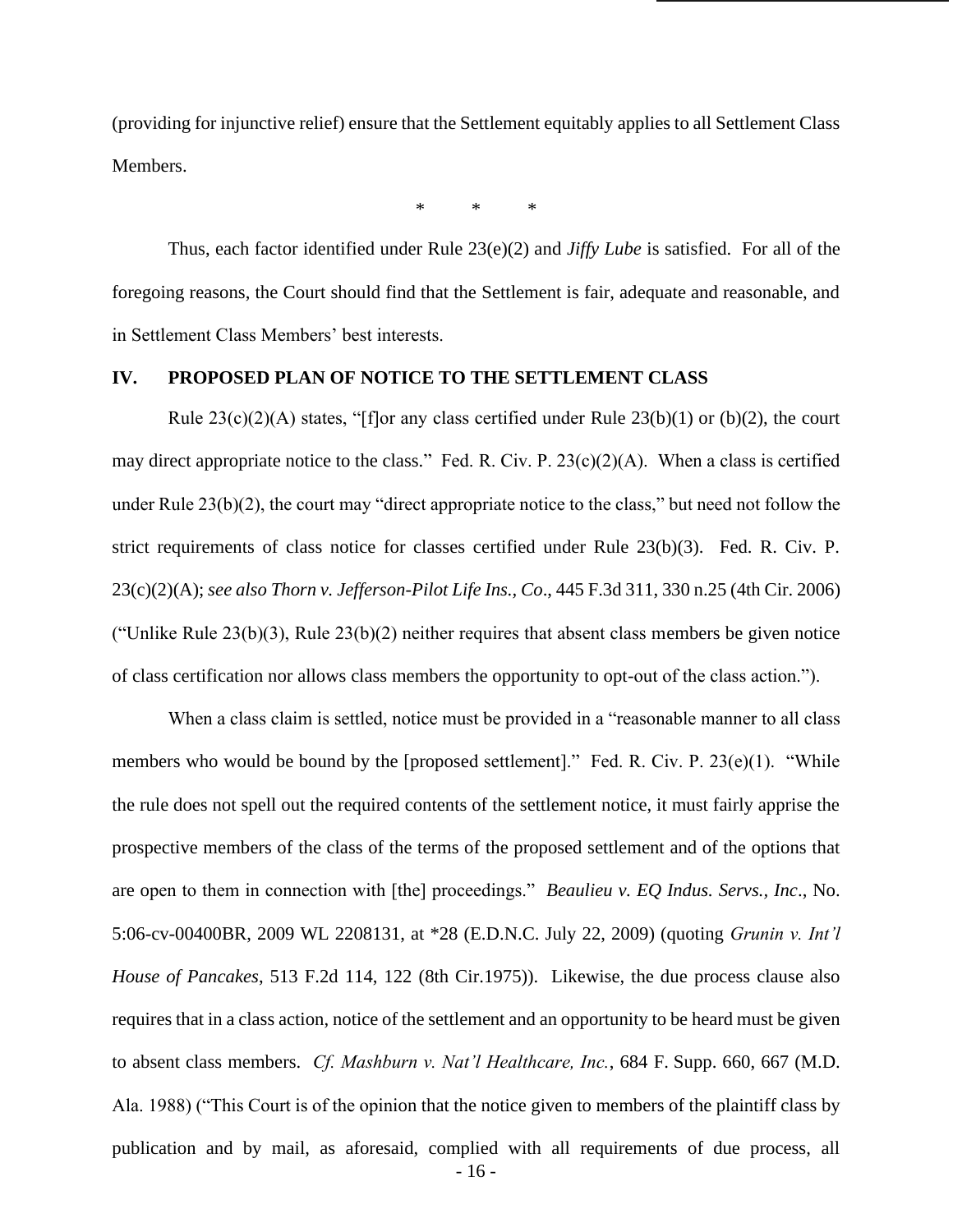(providing for injunctive relief) ensure that the Settlement equitably applies to all Settlement Class Members.

\* \* \*

Thus, each factor identified under Rule 23(e)(2) and *Jiffy Lube* is satisfied. For all of the foregoing reasons, the Court should find that the Settlement is fair, adequate and reasonable, and in Settlement Class Members' best interests.

### **IV. PROPOSED PLAN OF NOTICE TO THE SETTLEMENT CLASS**

Rule  $23(c)(2)(A)$  states, "[f]or any class certified under Rule  $23(b)(1)$  or (b)(2), the court may direct appropriate notice to the class." Fed. R. Civ. P. 23(c)(2)(A). When a class is certified under Rule 23(b)(2), the court may "direct appropriate notice to the class," but need not follow the strict requirements of class notice for classes certified under Rule 23(b)(3). Fed. R. Civ. P. 23(c)(2)(A); *see also Thorn v. Jefferson-Pilot Life Ins., Co*., 445 F.3d 311, 330 n.25 (4th Cir. 2006) ("Unlike Rule  $23(b)(3)$ , Rule  $23(b)(2)$  neither requires that absent class members be given notice of class certification nor allows class members the opportunity to opt-out of the class action.").

<span id="page-22-3"></span><span id="page-22-2"></span><span id="page-22-1"></span><span id="page-22-0"></span>- 16 - When a class claim is settled, notice must be provided in a "reasonable manner to all class members who would be bound by the [proposed settlement]." Fed. R. Civ. P. 23(e)(1). "While the rule does not spell out the required contents of the settlement notice, it must fairly apprise the prospective members of the class of the terms of the proposed settlement and of the options that are open to them in connection with [the] proceedings." *Beaulieu v. EQ Indus. Servs., Inc*., No. 5:06-cv-00400BR, 2009 WL 2208131, at \*28 (E.D.N.C. July 22, 2009) (quoting *Grunin v. Int'l House of Pancakes*, 513 F.2d 114, 122 (8th Cir.1975)). Likewise, the due process clause also requires that in a class action, notice of the settlement and an opportunity to be heard must be given to absent class members. *Cf. Mashburn v. Nat'l Healthcare, Inc.*, 684 F. Supp. 660, 667 (M.D. Ala. 1988) ("This Court is of the opinion that the notice given to members of the plaintiff class by publication and by mail, as aforesaid, complied with all requirements of due process, all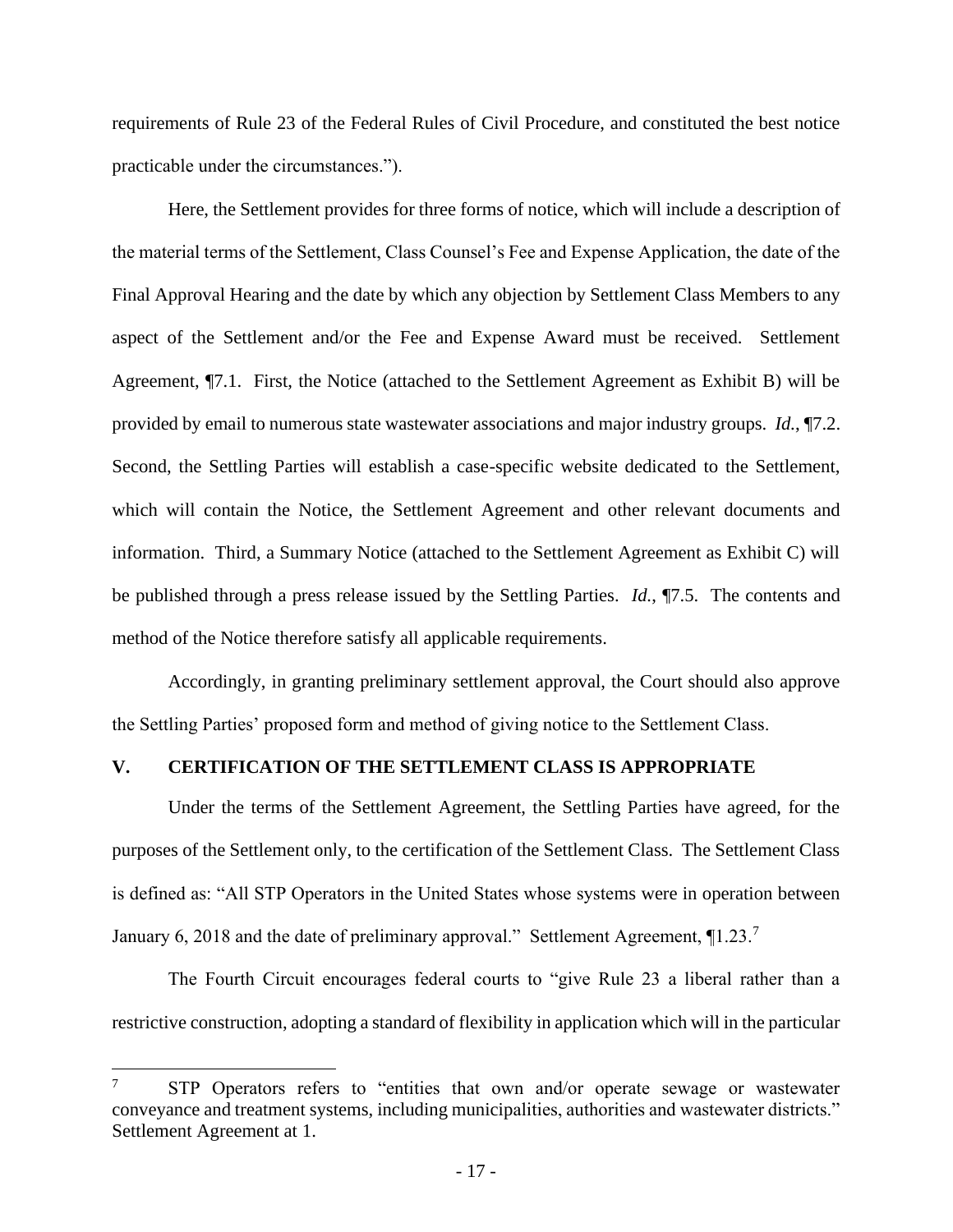requirements of Rule 23 of the Federal Rules of Civil Procedure, and constituted the best notice practicable under the circumstances.").

Here, the Settlement provides for three forms of notice, which will include a description of the material terms of the Settlement, Class Counsel's Fee and Expense Application, the date of the Final Approval Hearing and the date by which any objection by Settlement Class Members to any aspect of the Settlement and/or the Fee and Expense Award must be received. Settlement Agreement, ¶7.1. First, the Notice (attached to the Settlement Agreement as Exhibit B) will be provided by email to numerous state wastewater associations and major industry groups. *Id.*, ¶7.2. Second, the Settling Parties will establish a case-specific website dedicated to the Settlement, which will contain the Notice, the Settlement Agreement and other relevant documents and information. Third, a Summary Notice (attached to the Settlement Agreement as Exhibit C) will be published through a press release issued by the Settling Parties. *Id.*, ¶7.5. The contents and method of the Notice therefore satisfy all applicable requirements.

Accordingly, in granting preliminary settlement approval, the Court should also approve the Settling Parties' proposed form and method of giving notice to the Settlement Class.

#### **V. CERTIFICATION OF THE SETTLEMENT CLASS IS APPROPRIATE**

Under the terms of the Settlement Agreement, the Settling Parties have agreed, for the purposes of the Settlement only, to the certification of the Settlement Class. The Settlement Class is defined as: "All STP Operators in the United States whose systems were in operation between January 6, 2018 and the date of preliminary approval." Settlement Agreement,  $\P$ 1.23.<sup>7</sup>

The Fourth Circuit encourages federal courts to "give Rule 23 a liberal rather than a restrictive construction, adopting a standard of flexibility in application which will in the particular

<sup>7</sup> STP Operators refers to "entities that own and/or operate sewage or wastewater conveyance and treatment systems, including municipalities, authorities and wastewater districts." Settlement Agreement at 1.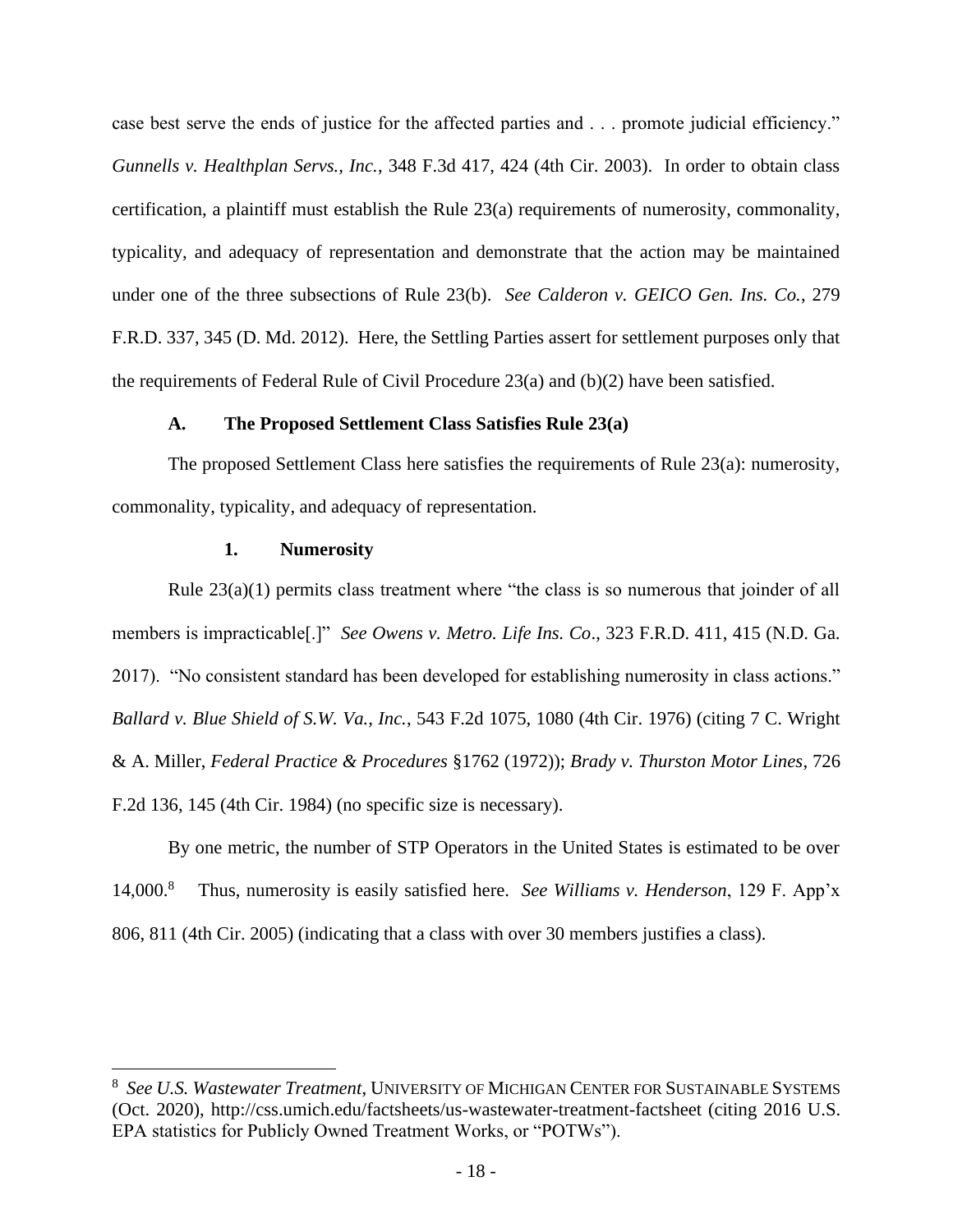<span id="page-24-3"></span>case best serve the ends of justice for the affected parties and . . . promote judicial efficiency." *Gunnells v. Healthplan Servs., Inc.*, 348 F.3d 417, 424 (4th Cir. 2003). In order to obtain class certification, a plaintiff must establish the Rule 23(a) requirements of numerosity, commonality, typicality, and adequacy of representation and demonstrate that the action may be maintained under one of the three subsections of Rule 23(b). *See Calderon v. GEICO Gen. Ins. Co.*, 279 F.R.D. 337, 345 (D. Md. 2012). Here, the Settling Parties assert for settlement purposes only that the requirements of Federal Rule of Civil Procedure 23(a) and (b)(2) have been satisfied.

#### <span id="page-24-2"></span>**A. The Proposed Settlement Class Satisfies Rule 23(a)**

The proposed Settlement Class here satisfies the requirements of Rule 23(a): numerosity, commonality, typicality, and adequacy of representation.

#### <span id="page-24-4"></span><span id="page-24-1"></span>**1. Numerosity**

<span id="page-24-0"></span>Rule 23(a)(1) permits class treatment where "the class is so numerous that joinder of all members is impracticable[.]" *See Owens v. Metro. Life Ins. Co*., 323 F.R.D. 411, 415 (N.D. Ga. 2017). "No consistent standard has been developed for establishing numerosity in class actions." *Ballard v. Blue Shield of S.W. Va., Inc.*, 543 F.2d 1075, 1080 (4th Cir. 1976) (citing 7 C. Wright & A. Miller, *Federal Practice & Procedures* §1762 (1972)); *Brady v. Thurston Motor Lines*, 726 F.2d 136, 145 (4th Cir. 1984) (no specific size is necessary).

<span id="page-24-5"></span>By one metric, the number of STP Operators in the United States is estimated to be over 14,000.<sup>8</sup> Thus, numerosity is easily satisfied here. *See Williams v. Henderson*, 129 F. App'x 806, 811 (4th Cir. 2005) (indicating that a class with over 30 members justifies a class).

<span id="page-24-6"></span><sup>8</sup> *See U.S. Wastewater Treatment*, UNIVERSITY OF MICHIGAN CENTER FOR SUSTAINABLE SYSTEMS (Oct. 2020), http://css.umich.edu/factsheets/us-wastewater-treatment-factsheet (citing 2016 U.S. EPA statistics for Publicly Owned Treatment Works, or "POTWs").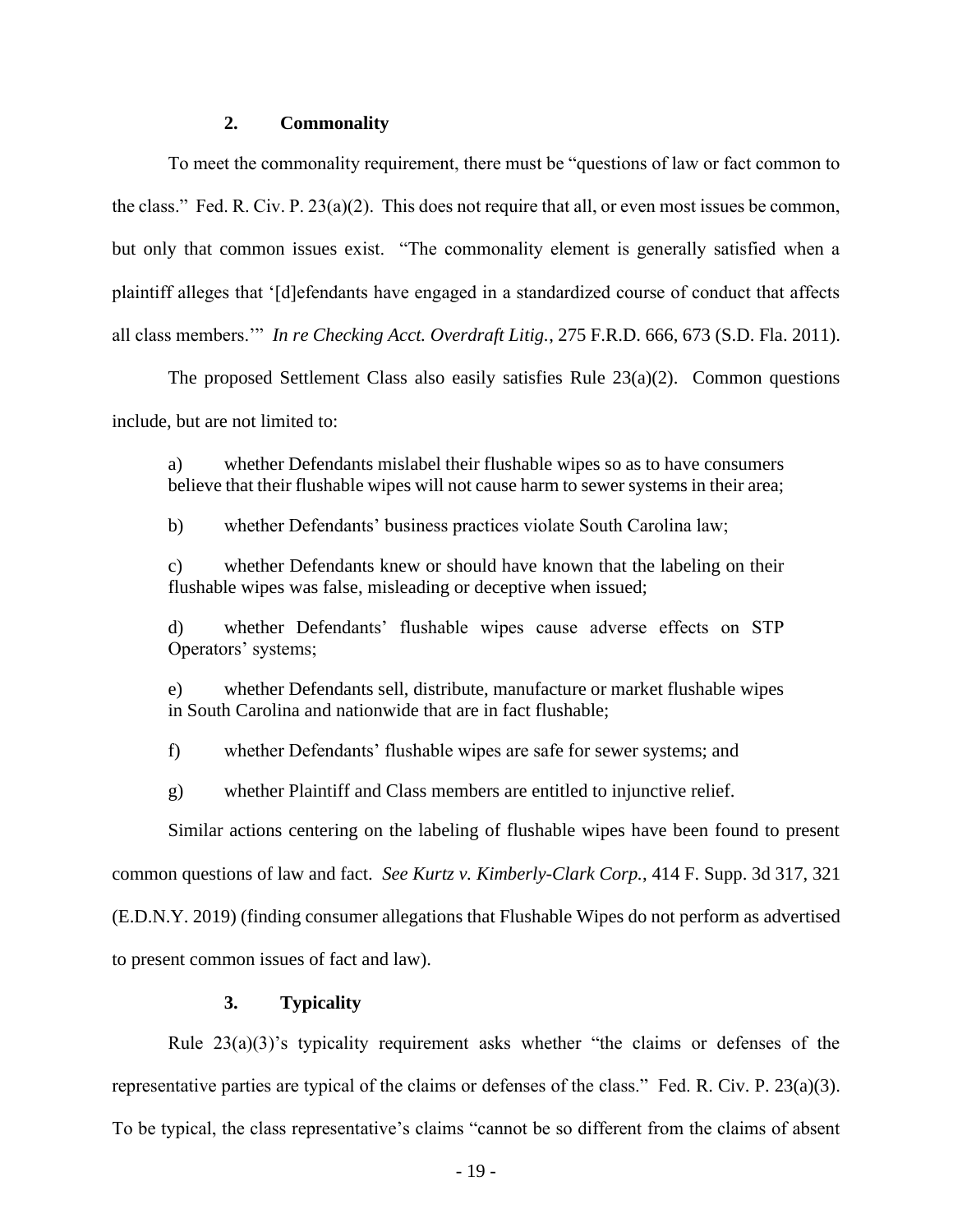#### **2. Commonality**

To meet the commonality requirement, there must be "questions of law or fact common to the class." Fed. R. Civ. P.  $23(a)(2)$ . This does not require that all, or even most issues be common, but only that common issues exist. "The commonality element is generally satisfied when a plaintiff alleges that '[d]efendants have engaged in a standardized course of conduct that affects all class members.'" *In re Checking Acct. Overdraft Litig.*, 275 F.R.D. 666, 673 (S.D. Fla. 2011).

The proposed Settlement Class also easily satisfies Rule 23(a)(2). Common questions include, but are not limited to:

<span id="page-25-0"></span>a) whether Defendants mislabel their flushable wipes so as to have consumers believe that their flushable wipes will not cause harm to sewer systems in their area;

b) whether Defendants' business practices violate South Carolina law;

c) whether Defendants knew or should have known that the labeling on their flushable wipes was false, misleading or deceptive when issued;

d) whether Defendants' flushable wipes cause adverse effects on STP Operators' systems;

e) whether Defendants sell, distribute, manufacture or market flushable wipes in South Carolina and nationwide that are in fact flushable;

f) whether Defendants' flushable wipes are safe for sewer systems; and

g) whether Plaintiff and Class members are entitled to injunctive relief.

Similar actions centering on the labeling of flushable wipes have been found to present

common questions of law and fact. *See Kurtz v. Kimberly-Clark Corp.*, 414 F. Supp. 3d 317, 321

(E.D.N.Y. 2019) (finding consumer allegations that Flushable Wipes do not perform as advertised

to present common issues of fact and law).

#### <span id="page-25-1"></span>**3. Typicality**

Rule 23(a)(3)'s typicality requirement asks whether "the claims or defenses of the representative parties are typical of the claims or defenses of the class." Fed. R. Civ. P. 23(a)(3). To be typical, the class representative's claims "cannot be so different from the claims of absent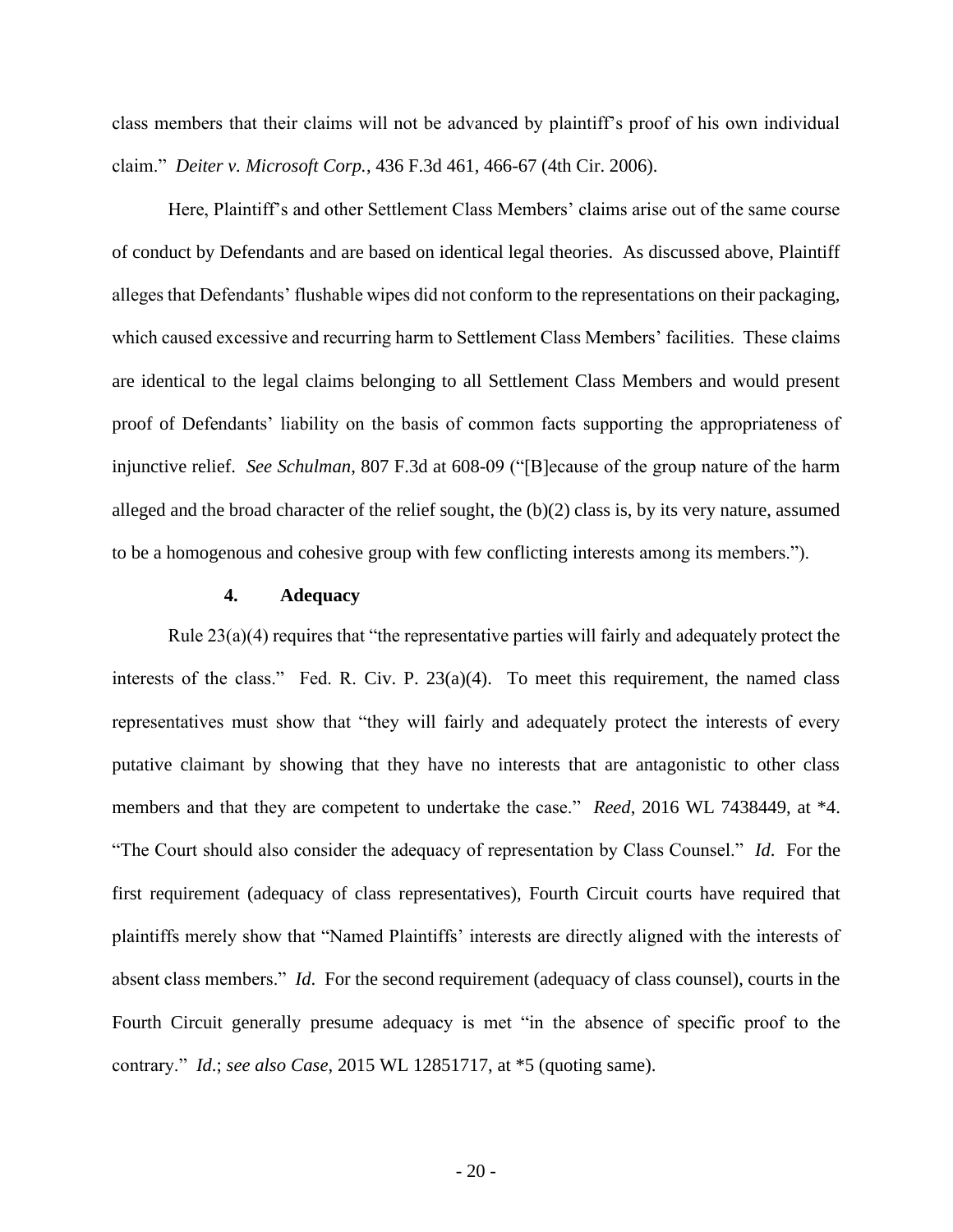<span id="page-26-1"></span>class members that their claims will not be advanced by plaintiff's proof of his own individual claim." *Deiter v. Microsoft Corp.*, 436 F.3d 461, 466-67 (4th Cir. 2006).

Here, Plaintiff's and other Settlement Class Members' claims arise out of the same course of conduct by Defendants and are based on identical legal theories. As discussed above, Plaintiff alleges that Defendants' flushable wipes did not conform to the representations on their packaging, which caused excessive and recurring harm to Settlement Class Members' facilities. These claims are identical to the legal claims belonging to all Settlement Class Members and would present proof of Defendants' liability on the basis of common facts supporting the appropriateness of injunctive relief. *See Schulman*, 807 F.3d at 608-09 ("[B]ecause of the group nature of the harm alleged and the broad character of the relief sought, the (b)(2) class is, by its very nature, assumed to be a homogenous and cohesive group with few conflicting interests among its members.").

#### <span id="page-26-2"></span>**4. Adequacy**

<span id="page-26-0"></span>Rule 23(a)(4) requires that "the representative parties will fairly and adequately protect the interests of the class." Fed. R. Civ. P. 23(a)(4). To meet this requirement, the named class representatives must show that "they will fairly and adequately protect the interests of every putative claimant by showing that they have no interests that are antagonistic to other class members and that they are competent to undertake the case." *Reed*, 2016 WL 7438449, at \*4. "The Court should also consider the adequacy of representation by Class Counsel." *Id*. For the first requirement (adequacy of class representatives), Fourth Circuit courts have required that plaintiffs merely show that "Named Plaintiffs' interests are directly aligned with the interests of absent class members." *Id*. For the second requirement (adequacy of class counsel), courts in the Fourth Circuit generally presume adequacy is met "in the absence of specific proof to the contrary." *Id*.; *see also Case*, 2015 WL 12851717, at \*5 (quoting same).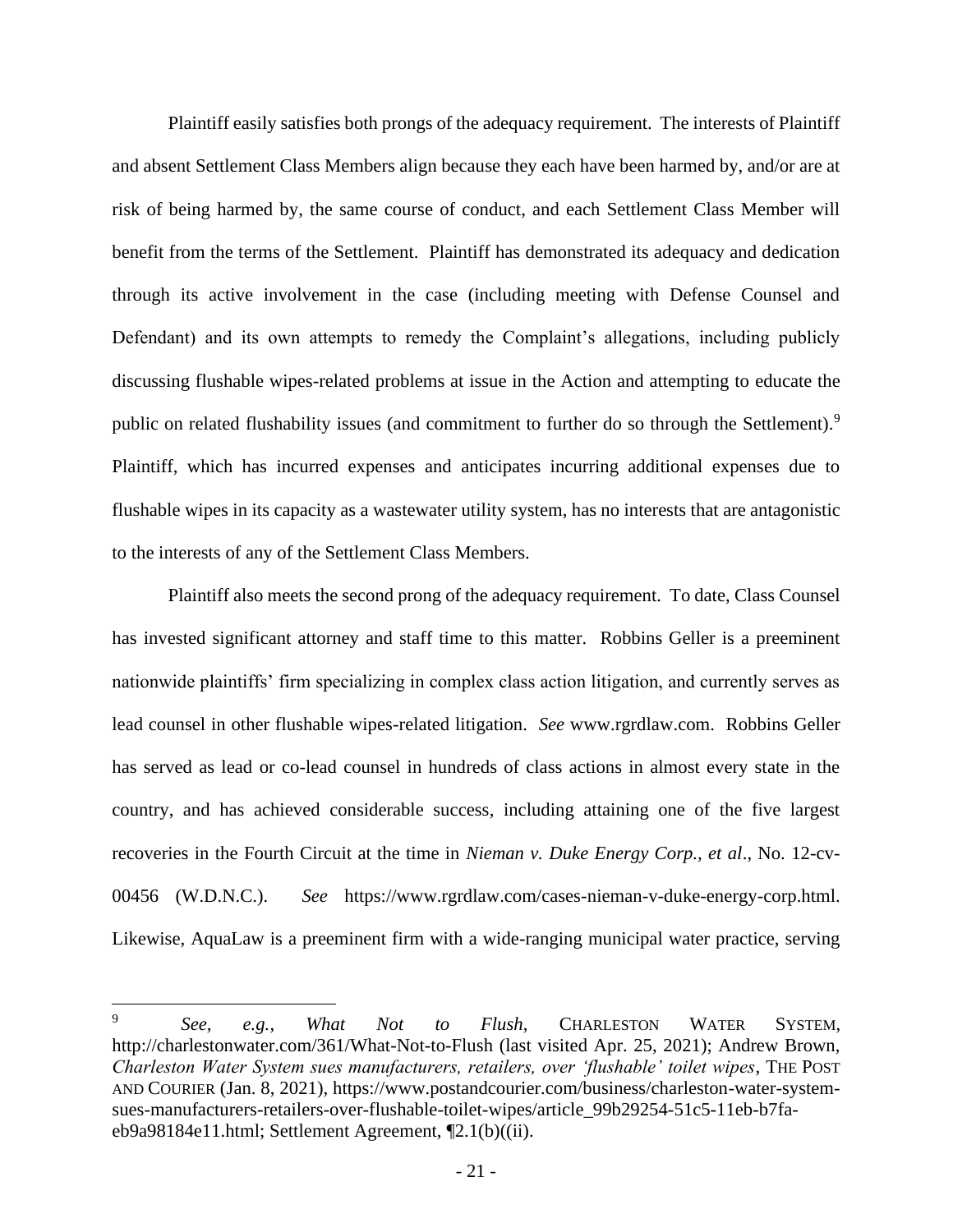Plaintiff easily satisfies both prongs of the adequacy requirement. The interests of Plaintiff and absent Settlement Class Members align because they each have been harmed by, and/or are at risk of being harmed by, the same course of conduct, and each Settlement Class Member will benefit from the terms of the Settlement. Plaintiff has demonstrated its adequacy and dedication through its active involvement in the case (including meeting with Defense Counsel and Defendant) and its own attempts to remedy the Complaint's allegations, including publicly discussing flushable wipes-related problems at issue in the Action and attempting to educate the public on related flushability issues (and commitment to further do so through the Settlement).<sup>9</sup> Plaintiff, which has incurred expenses and anticipates incurring additional expenses due to flushable wipes in its capacity as a wastewater utility system, has no interests that are antagonistic to the interests of any of the Settlement Class Members.

Plaintiff also meets the second prong of the adequacy requirement. To date, Class Counsel has invested significant attorney and staff time to this matter. Robbins Geller is a preeminent nationwide plaintiffs' firm specializing in complex class action litigation, and currently serves as lead counsel in other flushable wipes-related litigation. *See* www.rgrdlaw.com. Robbins Geller has served as lead or co-lead counsel in hundreds of class actions in almost every state in the country, and has achieved considerable success, including attaining one of the five largest recoveries in the Fourth Circuit at the time in *Nieman v. Duke Energy Corp., et al*., No. 12-cv-00456 (W.D.N.C.). *See* https://www.rgrdlaw.com/cases-nieman-v-duke-energy-corp.html. Likewise, AquaLaw is a preeminent firm with a wide-ranging municipal water practice, serving

<span id="page-27-1"></span><span id="page-27-0"></span><sup>9</sup> *See, e.g.*, *What Not to Flush*, CHARLESTON WATER SYSTEM, <http://charlestonwater.com/361/What-Not-to-Flush> (last visited Apr. 25, 2021); Andrew Brown, *Charleston Water System sues manufacturers, retailers, over 'flushable' toilet wipes*, THE POST AND COURIER (Jan. 8, 2021), https://www.postandcourier.com/business/charleston-water-systemsues-manufacturers-retailers-over-flushable-toilet-wipes/article\_99b29254-51c5-11eb-b7faeb9a98184e11.html; Settlement Agreement, ¶2.1(b)((ii).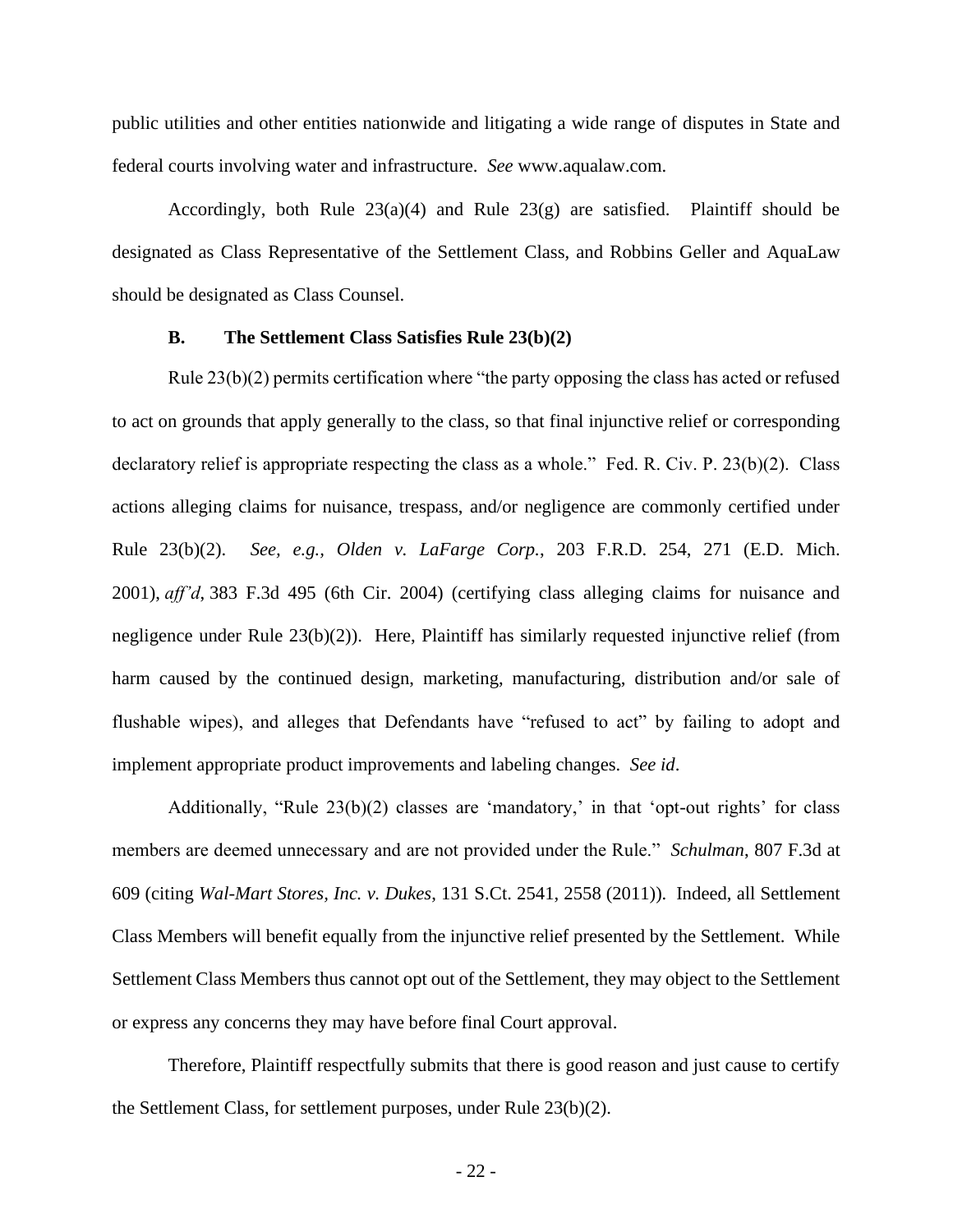public utilities and other entities nationwide and litigating a wide range of disputes in State and federal courts involving water and infrastructure. *See* www.aqualaw.com.

Accordingly, both Rule  $23(a)(4)$  and Rule  $23(g)$  are satisfied. Plaintiff should be designated as Class Representative of the Settlement Class, and Robbins Geller and AquaLaw should be designated as Class Counsel.

#### <span id="page-28-0"></span>**B. The Settlement Class Satisfies Rule 23(b)(2)**

Rule 23(b)(2) permits certification where "the party opposing the class has acted or refused to act on grounds that apply generally to the class, so that final injunctive relief or corresponding declaratory relief is appropriate respecting the class as a whole." Fed. R. Civ. P. 23(b)(2). Class actions alleging claims for nuisance, trespass, and/or negligence are commonly certified under Rule 23(b)(2). *See, e.g., Olden v. LaFarge Corp.*, 203 F.R.D. 254, 271 (E.D. Mich. 2001), *aff'd*, 383 F.3d 495 (6th Cir. 2004) (certifying class alleging claims for nuisance and negligence under Rule 23(b)(2)). Here, Plaintiff has similarly requested injunctive relief (from harm caused by the continued design, marketing, manufacturing, distribution and/or sale of flushable wipes), and alleges that Defendants have "refused to act" by failing to adopt and implement appropriate product improvements and labeling changes. *See id*.

<span id="page-28-1"></span>Additionally, "Rule 23(b)(2) classes are 'mandatory,' in that 'opt-out rights' for class members are deemed unnecessary and are not provided under the Rule." *Schulman*, 807 F.3d at 609 (citing *Wal-Mart Stores, Inc. v. Dukes*, 131 S.Ct. 2541, 2558 (2011)). Indeed, all Settlement Class Members will benefit equally from the injunctive relief presented by the Settlement. While Settlement Class Members thus cannot opt out of the Settlement, they may object to the Settlement or express any concerns they may have before final Court approval.

Therefore, Plaintiff respectfully submits that there is good reason and just cause to certify the Settlement Class, for settlement purposes, under Rule 23(b)(2).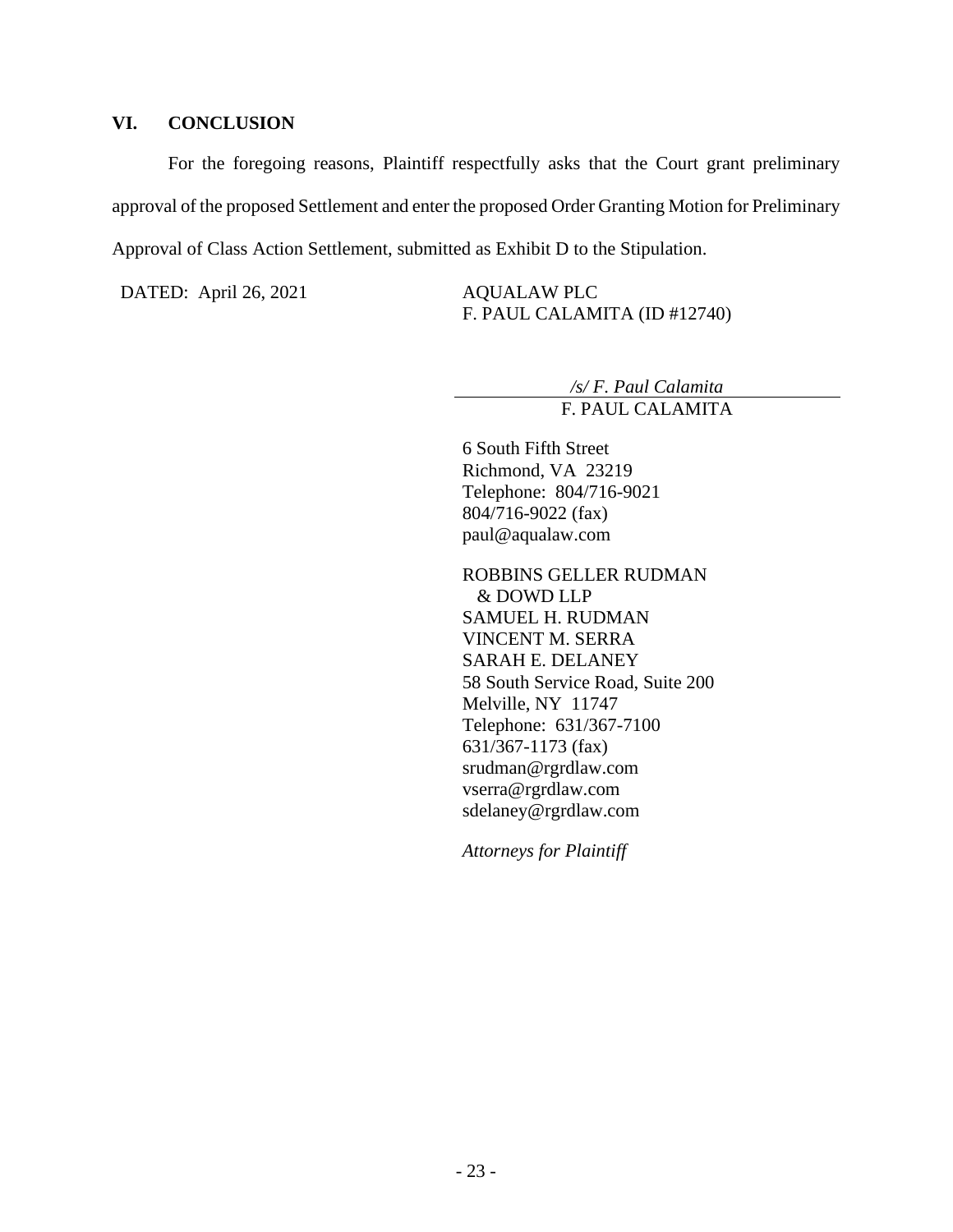### **VI. CONCLUSION**

For the foregoing reasons, Plaintiff respectfully asks that the Court grant preliminary approval of the proposed Settlement and enter the proposed Order Granting Motion for Preliminary Approval of Class Action Settlement, submitted as Exhibit D to the Stipulation.

DATED: April 26, 2021 AQUALAW PLC

F. PAUL CALAMITA (ID #12740)

*/s/ F. Paul Calamita*  F. PAUL CALAMITA

6 South Fifth Street Richmond, VA 23219 Telephone: 804/716-9021 804/716-9022 (fax) paul@aqualaw.com

ROBBINS GELLER RUDMAN & DOWD LLP SAMUEL H. RUDMAN VINCENT M. SERRA SARAH E. DELANEY 58 South Service Road, Suite 200 Melville, NY 11747 Telephone: 631/367-7100 631/367-1173 (fax) srudman@rgrdlaw.com vserra@rgrdlaw.com sdelaney@rgrdlaw.com

*Attorneys for Plaintiff*